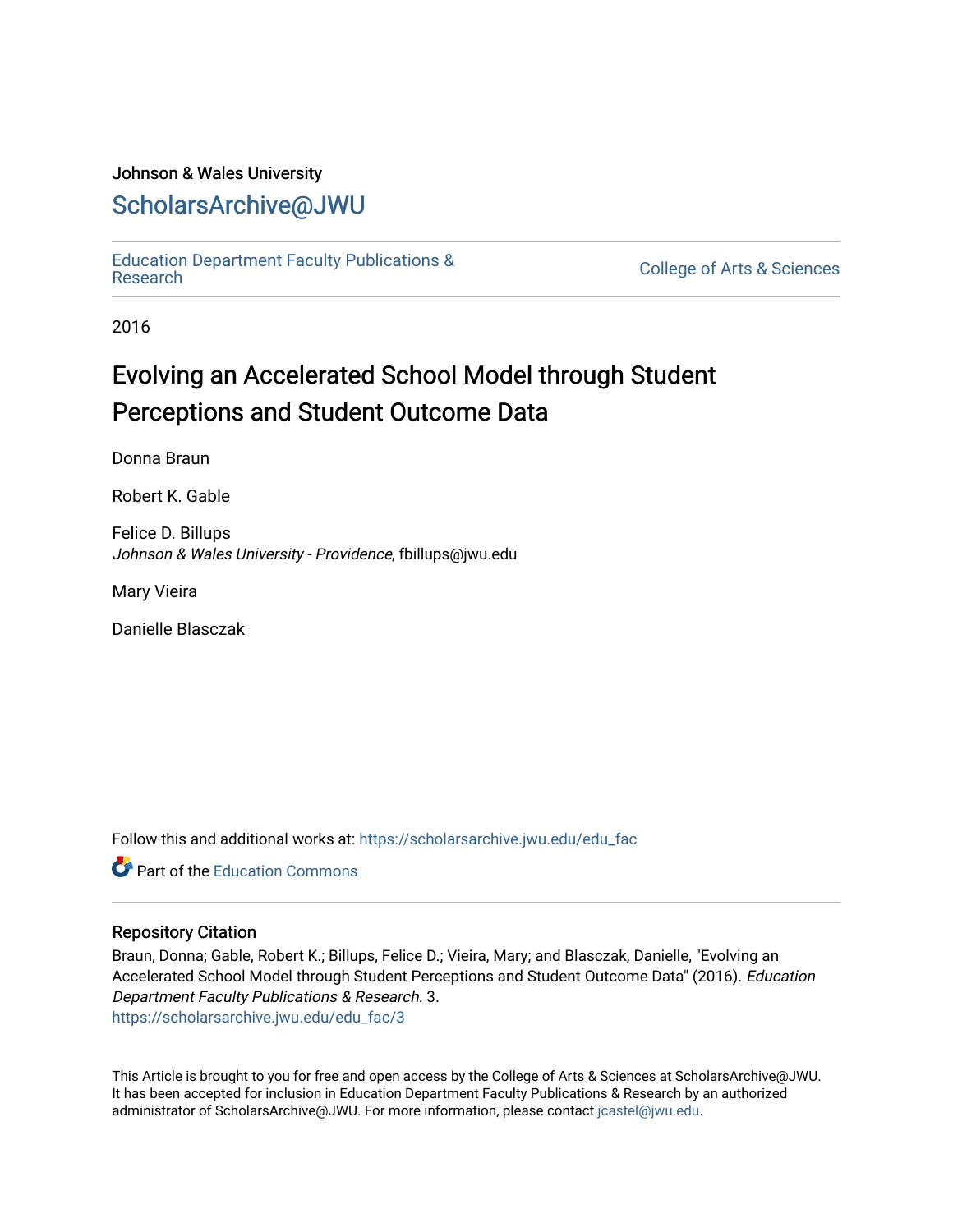#### Johnson & Wales University

### [ScholarsArchive@JWU](https://scholarsarchive.jwu.edu/)

[Education Department Faculty Publications &](https://scholarsarchive.jwu.edu/edu_fac)

**College of Arts & Sciences** 

2016

## Evolving an Accelerated School Model through Student Perceptions and Student Outcome Data

Donna Braun

Robert K. Gable

Felice D. Billups Johnson & Wales University - Providence, fbillups@jwu.edu

Mary Vieira

Danielle Blasczak

Follow this and additional works at: [https://scholarsarchive.jwu.edu/edu\\_fac](https://scholarsarchive.jwu.edu/edu_fac?utm_source=scholarsarchive.jwu.edu%2Fedu_fac%2F3&utm_medium=PDF&utm_campaign=PDFCoverPages) 

**Part of the [Education Commons](http://network.bepress.com/hgg/discipline/784?utm_source=scholarsarchive.jwu.edu%2Fedu_fac%2F3&utm_medium=PDF&utm_campaign=PDFCoverPages)** 

#### Repository Citation

Braun, Donna; Gable, Robert K.; Billups, Felice D.; Vieira, Mary; and Blasczak, Danielle, "Evolving an Accelerated School Model through Student Perceptions and Student Outcome Data" (2016). Education Department Faculty Publications & Research. 3. [https://scholarsarchive.jwu.edu/edu\\_fac/3](https://scholarsarchive.jwu.edu/edu_fac/3?utm_source=scholarsarchive.jwu.edu%2Fedu_fac%2F3&utm_medium=PDF&utm_campaign=PDFCoverPages)

This Article is brought to you for free and open access by the College of Arts & Sciences at ScholarsArchive@JWU. It has been accepted for inclusion in Education Department Faculty Publications & Research by an authorized administrator of ScholarsArchive@JWU. For more information, please contact [jcastel@jwu.edu.](mailto:jcastel@jwu.edu)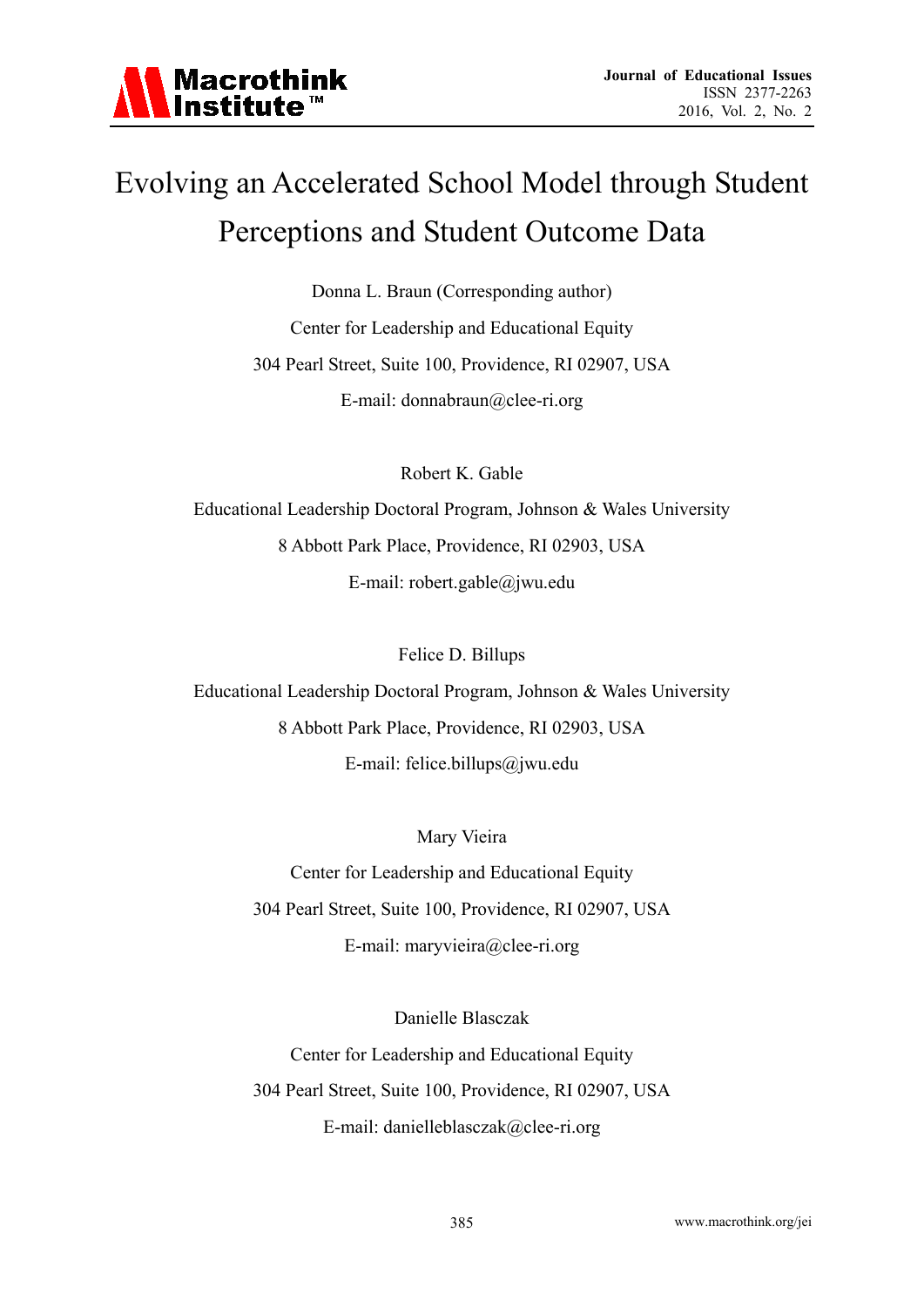

# Evolving an Accelerated School Model through Student Perceptions and Student Outcome Data

Donna L. Braun (Corresponding author) Center for Leadership and Educational Equity 304 Pearl Street, Suite 100, Providence, RI 02907, USA E-mail: donnabraun@clee-ri.org

Robert K. Gable

Educational Leadership Doctoral Program, Johnson & Wales University 8 Abbott Park Place, Providence, RI 02903, USA E-mail: robert.gable@jwu.edu

Felice D. Billups

Educational Leadership Doctoral Program, Johnson & Wales University 8 Abbott Park Place, Providence, RI 02903, USA E-mail: felice.billups@jwu.edu

Mary Vieira

Center for Leadership and Educational Equity 304 Pearl Street, Suite 100, Providence, RI 02907, USA E-mail: maryvieira@clee-ri.org

Danielle Blasczak

Center for Leadership and Educational Equity 304 Pearl Street, Suite 100, Providence, RI 02907, USA E-mail: danielleblasczak@clee-ri.org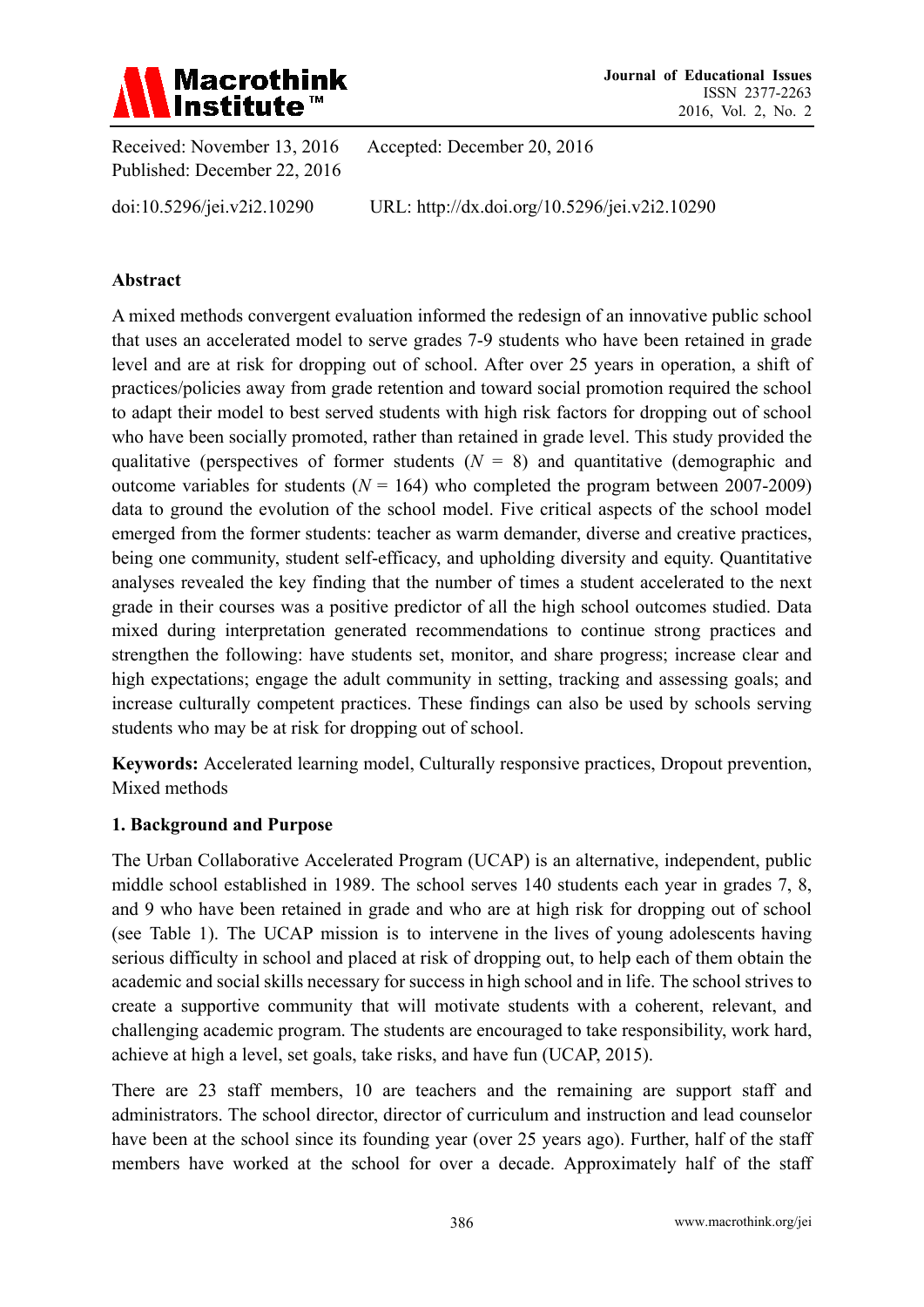

Received: November 13, 2016 Accepted: December 20, 2016 Published: December 22, 2016

doi:10.5296/jei.v2i2.10290 URL: http://dx.doi.org/10.5296/jei.v2i2.10290

#### **Abstract**

A mixed methods convergent evaluation informed the redesign of an innovative public school that uses an accelerated model to serve grades 7-9 students who have been retained in grade level and are at risk for dropping out of school. After over 25 years in operation, a shift of practices/policies away from grade retention and toward social promotion required the school to adapt their model to best served students with high risk factors for dropping out of school who have been socially promoted, rather than retained in grade level. This study provided the qualitative (perspectives of former students  $(N = 8)$  and quantitative (demographic and outcome variables for students  $(N = 164)$  who completed the program between 2007-2009) data to ground the evolution of the school model. Five critical aspects of the school model emerged from the former students: teacher as warm demander, diverse and creative practices, being one community, student self-efficacy, and upholding diversity and equity. Quantitative analyses revealed the key finding that the number of times a student accelerated to the next grade in their courses was a positive predictor of all the high school outcomes studied. Data mixed during interpretation generated recommendations to continue strong practices and strengthen the following: have students set, monitor, and share progress; increase clear and high expectations; engage the adult community in setting, tracking and assessing goals; and increase culturally competent practices. These findings can also be used by schools serving students who may be at risk for dropping out of school.

**Keywords:** Accelerated learning model, Culturally responsive practices, Dropout prevention, Mixed methods

#### **1. Background and Purpose**

The Urban Collaborative Accelerated Program (UCAP) is an alternative, independent, public middle school established in 1989. The school serves 140 students each year in grades 7, 8, and 9 who have been retained in grade and who are at high risk for dropping out of school (see Table 1). The UCAP mission is to intervene in the lives of young adolescents having serious difficulty in school and placed at risk of dropping out, to help each of them obtain the academic and social skills necessary for success in high school and in life. The school strives to create a supportive community that will motivate students with a coherent, relevant, and challenging academic program. The students are encouraged to take responsibility, work hard, achieve at high a level, set goals, take risks, and have fun (UCAP, 2015).

There are 23 staff members, 10 are teachers and the remaining are support staff and administrators. The school director, director of curriculum and instruction and lead counselor have been at the school since its founding year (over 25 years ago). Further, half of the staff members have worked at the school for over a decade. Approximately half of the staff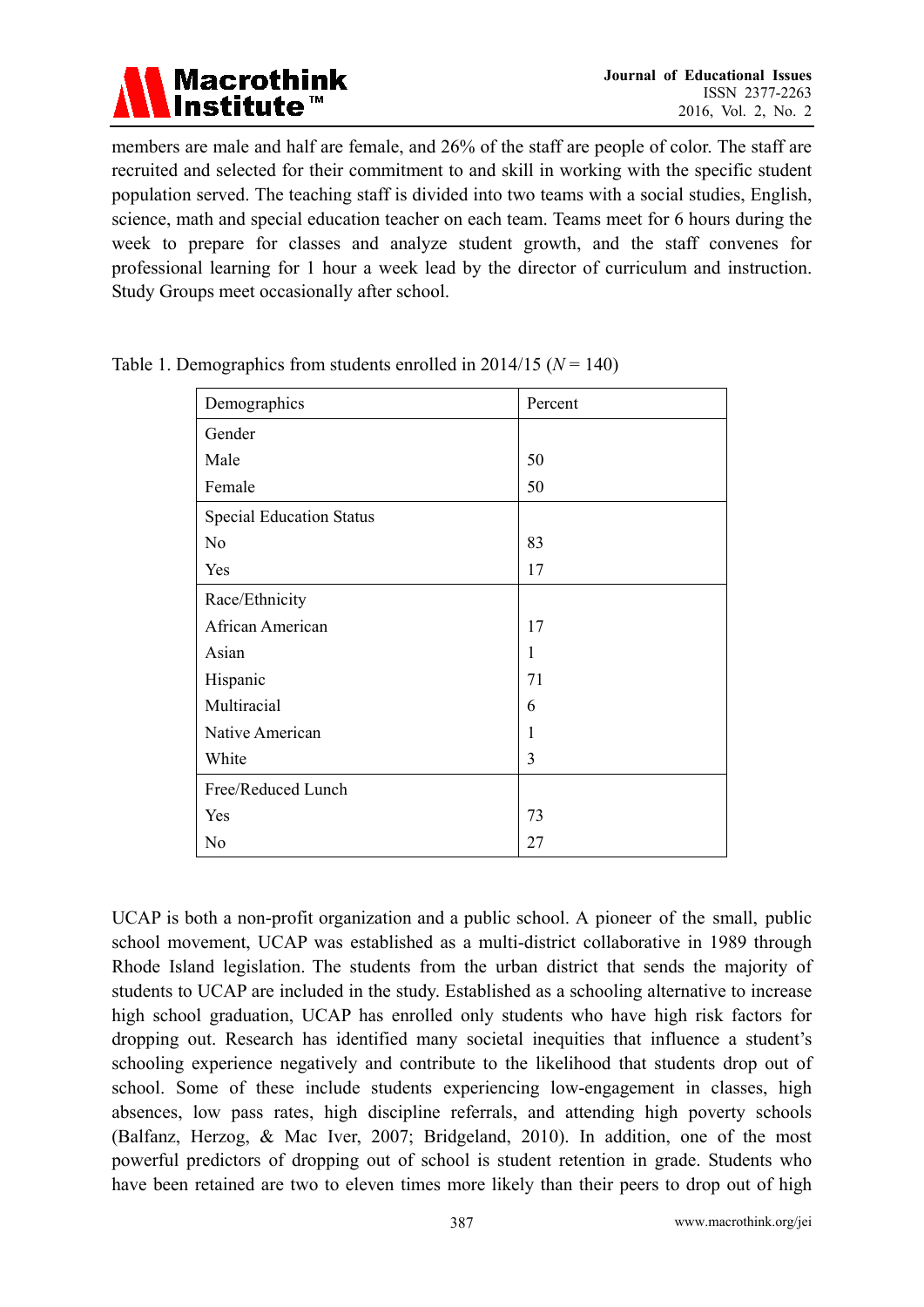

members are male and half are female, and 26% of the staff are people of color. The staff are recruited and selected for their commitment to and skill in working with the specific student population served. The teaching staff is divided into two teams with a social studies, English, science, math and special education teacher on each team. Teams meet for 6 hours during the week to prepare for classes and analyze student growth, and the staff convenes for professional learning for 1 hour a week lead by the director of curriculum and instruction. Study Groups meet occasionally after school.

| Demographics                    | Percent |
|---------------------------------|---------|
| Gender                          |         |
| Male                            | 50      |
| Female                          | 50      |
| <b>Special Education Status</b> |         |
| N <sub>0</sub>                  | 83      |
| Yes                             | 17      |
| Race/Ethnicity                  |         |
| African American                | 17      |
| Asian                           | 1       |
| Hispanic                        | 71      |
| Multiracial                     | 6       |
| Native American                 | 1       |
| White                           | 3       |
| Free/Reduced Lunch              |         |
| Yes                             | 73      |
| N <sub>o</sub>                  | 27      |

Table 1. Demographics from students enrolled in 2014/15  $(N = 140)$ 

UCAP is both a non-profit organization and a public school. A pioneer of the small, public school movement, UCAP was established as a multi-district collaborative in 1989 through Rhode Island legislation. The students from the urban district that sends the majority of students to UCAP are included in the study. Established as a schooling alternative to increase high school graduation, UCAP has enrolled only students who have high risk factors for dropping out. Research has identified many societal inequities that influence a student's schooling experience negatively and contribute to the likelihood that students drop out of school. Some of these include students experiencing low-engagement in classes, high absences, low pass rates, high discipline referrals, and attending high poverty schools (Balfanz, Herzog, & Mac Iver, 2007; Bridgeland, 2010). In addition, one of the most powerful predictors of dropping out of school is student retention in grade. Students who have been retained are two to eleven times more likely than their peers to drop out of high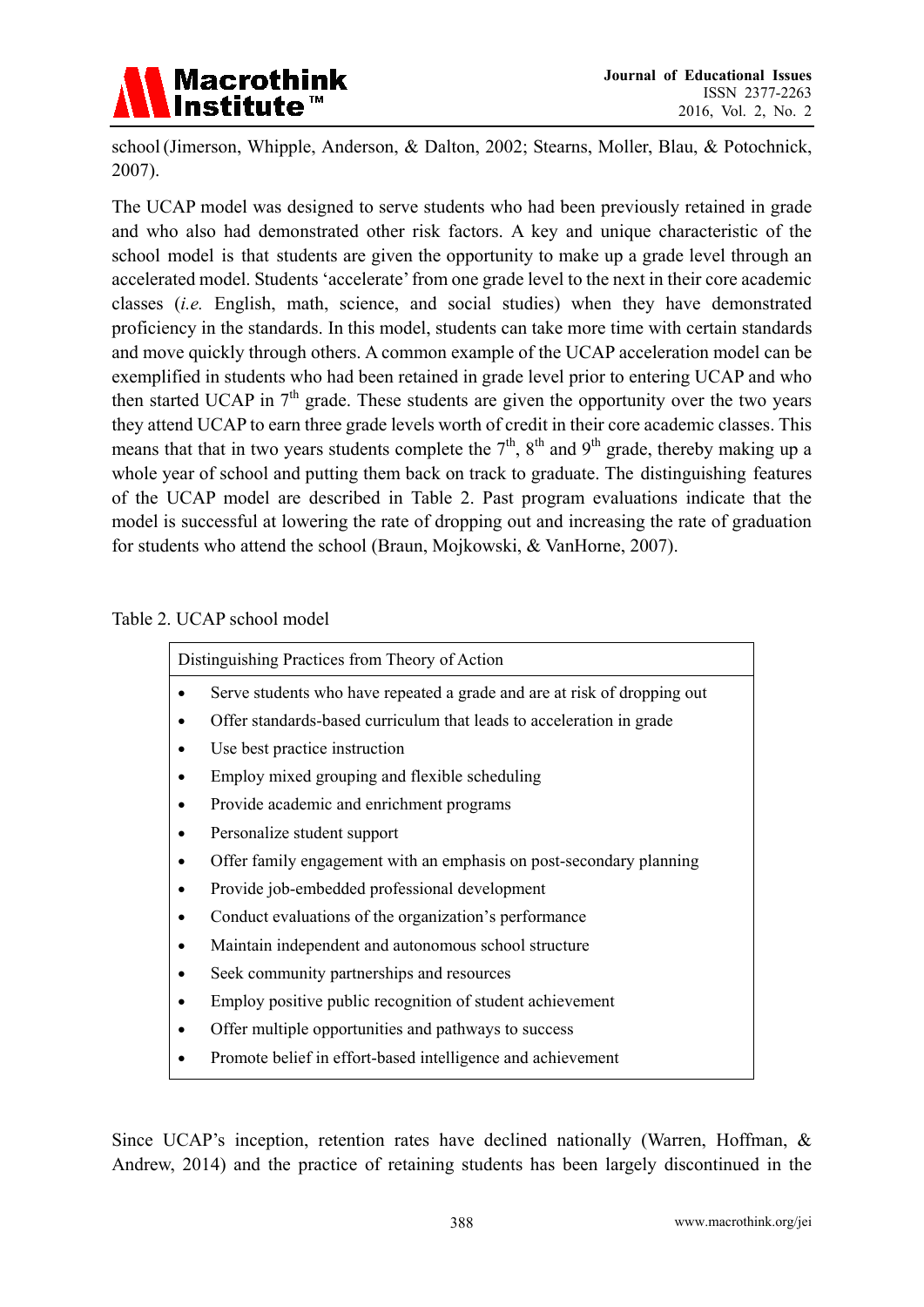

school (Jimerson, Whipple, Anderson, & Dalton, 2002; Stearns, Moller, Blau, & Potochnick, 2007).

The UCAP model was designed to serve students who had been previously retained in grade and who also had demonstrated other risk factors. A key and unique characteristic of the school model is that students are given the opportunity to make up a grade level through an accelerated model. Students 'accelerate' from one grade level to the next in their core academic classes (*i.e.* English, math, science, and social studies) when they have demonstrated proficiency in the standards. In this model, students can take more time with certain standards and move quickly through others. A common example of the UCAP acceleration model can be exemplified in students who had been retained in grade level prior to entering UCAP and who then started UCAP in  $7<sup>th</sup>$  grade. These students are given the opportunity over the two years they attend UCAP to earn three grade levels worth of credit in their core academic classes. This means that that in two years students complete the  $7<sup>th</sup>$ ,  $8<sup>th</sup>$  and  $9<sup>th</sup>$  grade, thereby making up a whole year of school and putting them back on track to graduate. The distinguishing features of the UCAP model are described in Table 2. Past program evaluations indicate that the model is successful at lowering the rate of dropping out and increasing the rate of graduation for students who attend the school (Braun, Mojkowski, & VanHorne, 2007).

#### Table 2. UCAP school model

|   | Distinguishing Practices from Theory of Action                           |  |  |  |  |
|---|--------------------------------------------------------------------------|--|--|--|--|
|   | Serve students who have repeated a grade and are at risk of dropping out |  |  |  |  |
|   | Offer standards-based curriculum that leads to acceleration in grade     |  |  |  |  |
|   | Use best practice instruction                                            |  |  |  |  |
|   | Employ mixed grouping and flexible scheduling                            |  |  |  |  |
|   | Provide academic and enrichment programs                                 |  |  |  |  |
|   | Personalize student support                                              |  |  |  |  |
|   | Offer family engagement with an emphasis on post-secondary planning      |  |  |  |  |
|   | Provide job-embedded professional development                            |  |  |  |  |
|   | Conduct evaluations of the organization's performance                    |  |  |  |  |
| ٠ | Maintain independent and autonomous school structure                     |  |  |  |  |
| ٠ | Seek community partnerships and resources                                |  |  |  |  |
|   | Employ positive public recognition of student achievement                |  |  |  |  |
|   | Offer multiple opportunities and pathways to success                     |  |  |  |  |
|   | Promote belief in effort-based intelligence and achievement              |  |  |  |  |

Since UCAP's inception, retention rates have declined nationally (Warren, Hoffman, & Andrew, 2014) and the practice of retaining students has been largely discontinued in the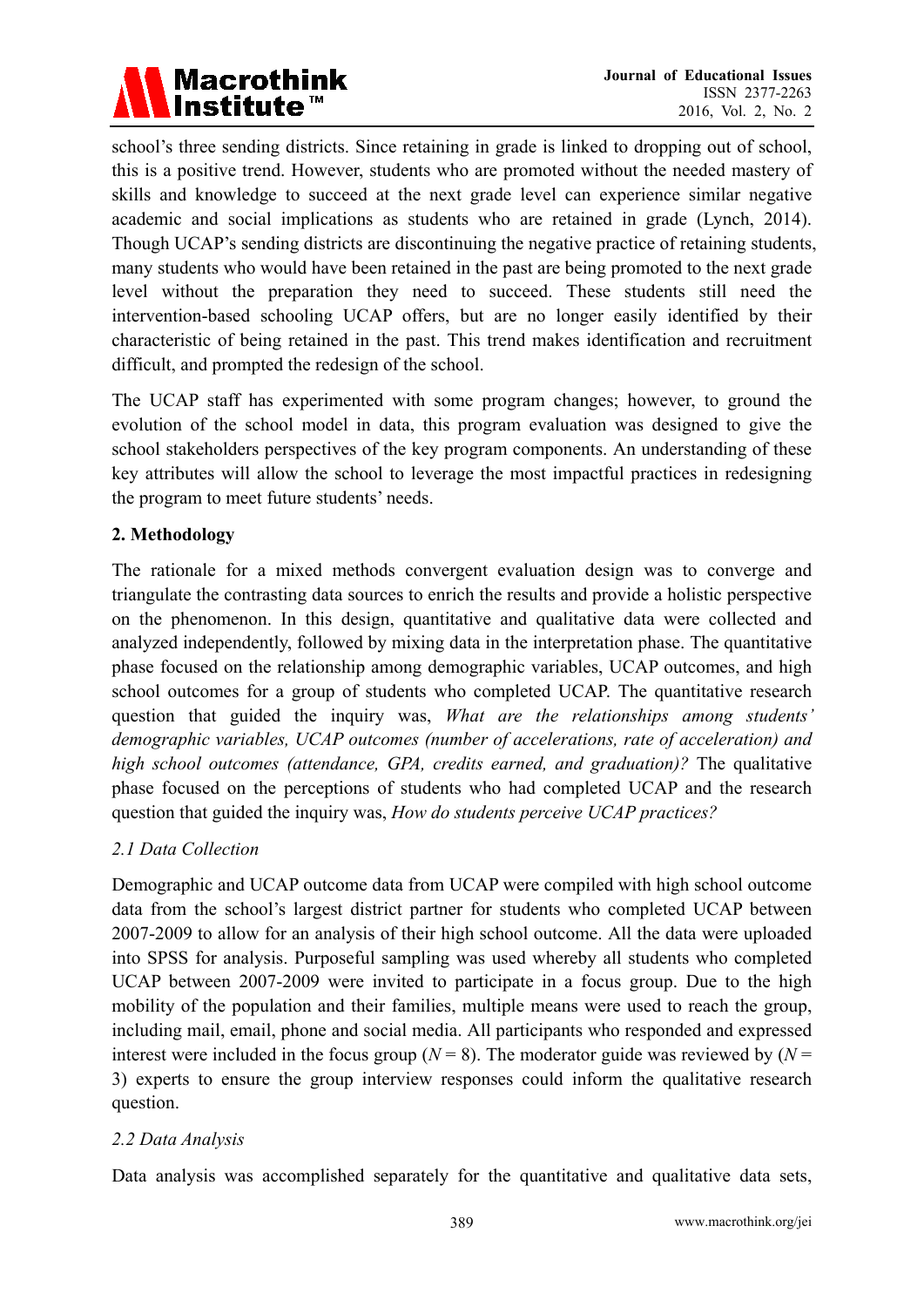

school's three sending districts. Since retaining in grade is linked to dropping out of school, this is a positive trend. However, students who are promoted without the needed mastery of skills and knowledge to succeed at the next grade level can experience similar negative academic and social implications as students who are retained in grade (Lynch, 2014). Though UCAP's sending districts are discontinuing the negative practice of retaining students, many students who would have been retained in the past are being promoted to the next grade level without the preparation they need to succeed. These students still need the intervention-based schooling UCAP offers, but are no longer easily identified by their characteristic of being retained in the past. This trend makes identification and recruitment difficult, and prompted the redesign of the school.

The UCAP staff has experimented with some program changes; however, to ground the evolution of the school model in data, this program evaluation was designed to give the school stakeholders perspectives of the key program components. An understanding of these key attributes will allow the school to leverage the most impactful practices in redesigning the program to meet future students' needs.

#### **2. Methodology**

The rationale for a mixed methods convergent evaluation design was to converge and triangulate the contrasting data sources to enrich the results and provide a holistic perspective on the phenomenon. In this design, quantitative and qualitative data were collected and analyzed independently, followed by mixing data in the interpretation phase. The quantitative phase focused on the relationship among demographic variables, UCAP outcomes, and high school outcomes for a group of students who completed UCAP. The quantitative research question that guided the inquiry was, *What are the relationships among students' demographic variables, UCAP outcomes (number of accelerations, rate of acceleration) and high school outcomes (attendance, GPA, credits earned, and graduation)?* The qualitative phase focused on the perceptions of students who had completed UCAP and the research question that guided the inquiry was, *How do students perceive UCAP practices?*

#### *2.1 Data Collection*

Demographic and UCAP outcome data from UCAP were compiled with high school outcome data from the school's largest district partner for students who completed UCAP between 2007-2009 to allow for an analysis of their high school outcome. All the data were uploaded into SPSS for analysis. Purposeful sampling was used whereby all students who completed UCAP between 2007-2009 were invited to participate in a focus group. Due to the high mobility of the population and their families, multiple means were used to reach the group, including mail, email, phone and social media. All participants who responded and expressed interest were included in the focus group ( $N = 8$ ). The moderator guide was reviewed by ( $N =$ 3) experts to ensure the group interview responses could inform the qualitative research question.

#### *2.2 Data Analysis*

Data analysis was accomplished separately for the quantitative and qualitative data sets,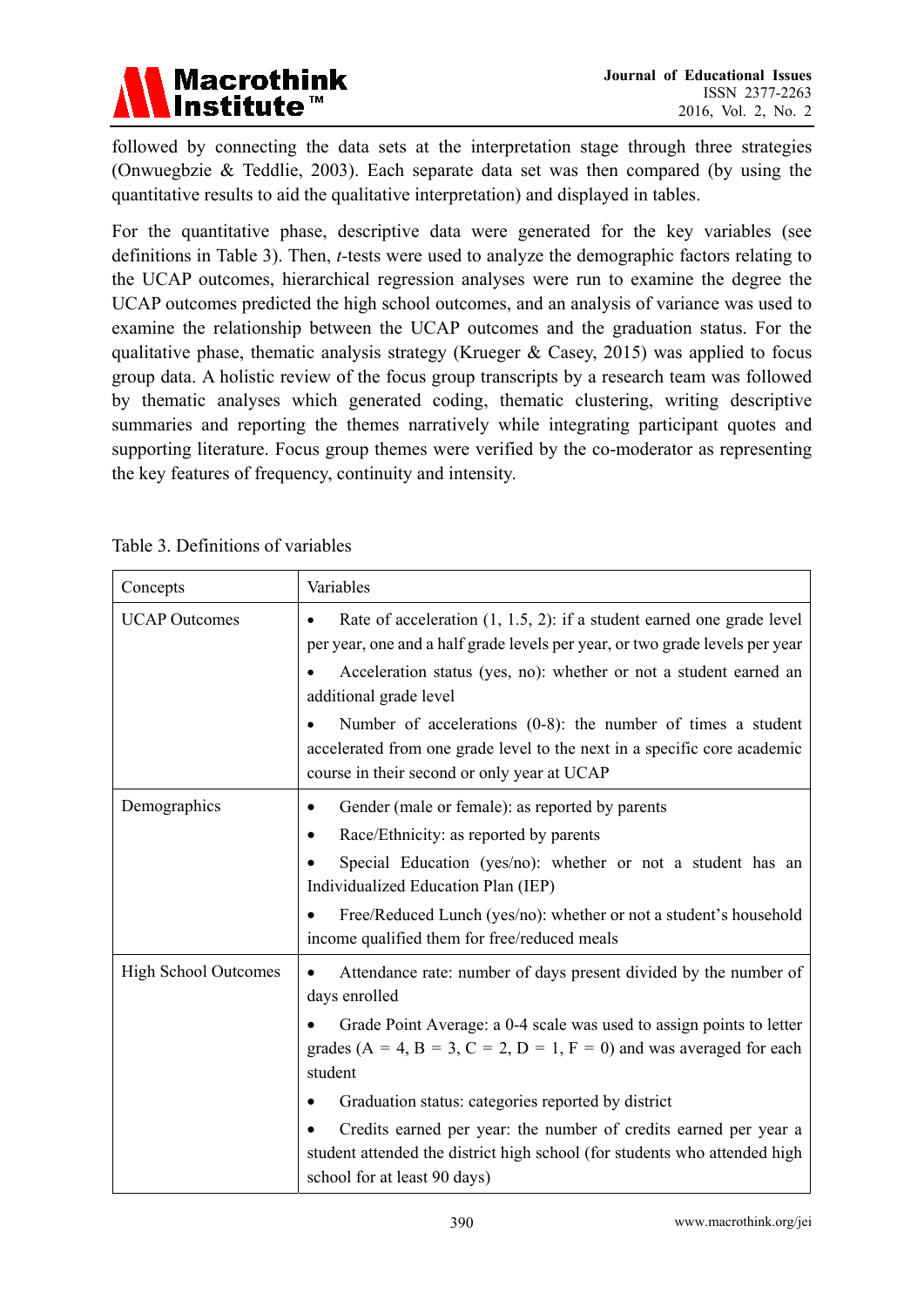

followed by connecting the data sets at the interpretation stage through three strategies (Onwuegbzie & Teddlie, 2003). Each separate data set was then compared (by using the quantitative results to aid the qualitative interpretation) and displayed in tables.

For the quantitative phase, descriptive data were generated for the key variables (see definitions in Table 3). Then, *t-*tests were used to analyze the demographic factors relating to the UCAP outcomes, hierarchical regression analyses were run to examine the degree the UCAP outcomes predicted the high school outcomes, and an analysis of variance was used to examine the relationship between the UCAP outcomes and the graduation status. For the qualitative phase, thematic analysis strategy (Krueger  $\&$  Casey, 2015) was applied to focus group data. A holistic review of the focus group transcripts by a research team was followed by thematic analyses which generated coding, thematic clustering, writing descriptive summaries and reporting the themes narratively while integrating participant quotes and supporting literature. Focus group themes were verified by the co-moderator as representing the key features of frequency, continuity and intensity.

| Concepts                    | Variables                                                                                                                                                                                                                                                                                                                                                                                                                                                                           |
|-----------------------------|-------------------------------------------------------------------------------------------------------------------------------------------------------------------------------------------------------------------------------------------------------------------------------------------------------------------------------------------------------------------------------------------------------------------------------------------------------------------------------------|
| <b>UCAP</b> Outcomes        | Rate of acceleration $(1, 1.5, 2)$ : if a student earned one grade level<br>٠<br>per year, one and a half grade levels per year, or two grade levels per year<br>Acceleration status (yes, no): whether or not a student earned an<br>additional grade level<br>Number of accelerations $(0-8)$ : the number of times a student<br>accelerated from one grade level to the next in a specific core academic<br>course in their second or only year at UCAP                          |
| Demographics                | Gender (male or female): as reported by parents<br>Race/Ethnicity: as reported by parents<br>Special Education (yes/no): whether or not a student has an<br>Individualized Education Plan (IEP)<br>Free/Reduced Lunch (yes/no): whether or not a student's household<br>income qualified them for free/reduced meals                                                                                                                                                                |
| <b>High School Outcomes</b> | Attendance rate: number of days present divided by the number of<br>days enrolled<br>Grade Point Average: a 0-4 scale was used to assign points to letter<br>grades (A = 4, B = 3, C = 2, D = 1, F = 0) and was averaged for each<br>student<br>Graduation status: categories reported by district<br>Credits earned per year: the number of credits earned per year a<br>student attended the district high school (for students who attended high<br>school for at least 90 days) |

Table 3. Definitions of variables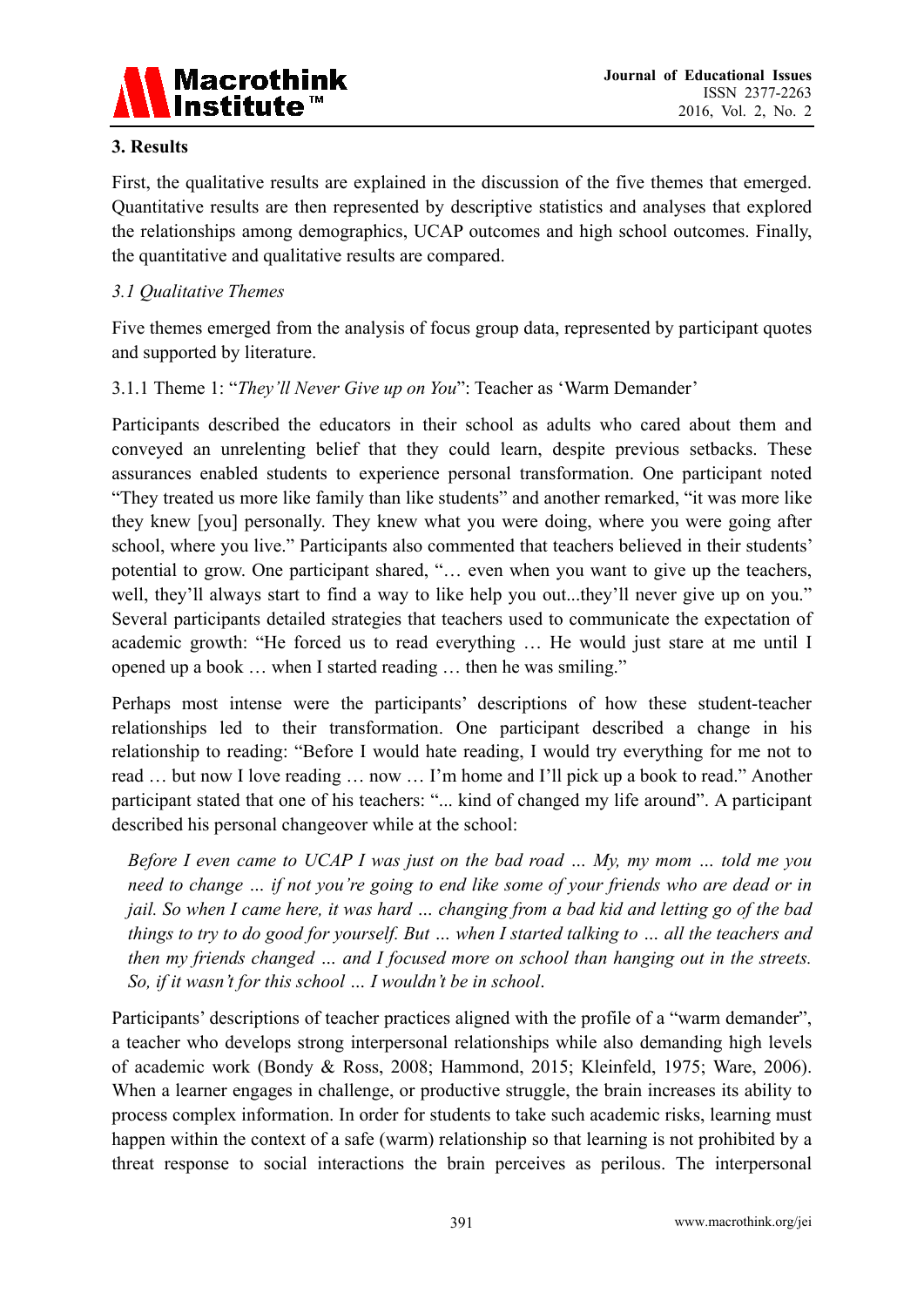

#### **3. Results**

First, the qualitative results are explained in the discussion of the five themes that emerged. Quantitative results are then represented by descriptive statistics and analyses that explored the relationships among demographics, UCAP outcomes and high school outcomes. Finally, the quantitative and qualitative results are compared.

#### *3.1 Qualitative Themes*

Five themes emerged from the analysis of focus group data, represented by participant quotes and supported by literature.

#### 3.1.1 Theme 1: "*They'll Never Give up on You*": Teacher as 'Warm Demander'

Participants described the educators in their school as adults who cared about them and conveyed an unrelenting belief that they could learn, despite previous setbacks. These assurances enabled students to experience personal transformation. One participant noted "They treated us more like family than like students" and another remarked, "it was more like they knew [you] personally. They knew what you were doing, where you were going after school, where you live." Participants also commented that teachers believed in their students' potential to grow. One participant shared, "… even when you want to give up the teachers, well, they'll always start to find a way to like help you out...they'll never give up on you." Several participants detailed strategies that teachers used to communicate the expectation of academic growth: "He forced us to read everything … He would just stare at me until I opened up a book … when I started reading … then he was smiling."

Perhaps most intense were the participants' descriptions of how these student-teacher relationships led to their transformation. One participant described a change in his relationship to reading: "Before I would hate reading, I would try everything for me not to read … but now I love reading … now … I'm home and I'll pick up a book to read." Another participant stated that one of his teachers: "... kind of changed my life around". A participant described his personal changeover while at the school:

*Before I even came to UCAP I was just on the bad road … My, my mom … told me you need to change … if not you're going to end like some of your friends who are dead or in jail. So when I came here, it was hard … changing from a bad kid and letting go of the bad things to try to do good for yourself. But … when I started talking to … all the teachers and then my friends changed … and I focused more on school than hanging out in the streets. So, if it wasn't for this school … I wouldn't be in school*.

Participants' descriptions of teacher practices aligned with the profile of a "warm demander", a teacher who develops strong interpersonal relationships while also demanding high levels of academic work (Bondy & Ross, 2008; Hammond, 2015; Kleinfeld, 1975; Ware, 2006). When a learner engages in challenge, or productive struggle, the brain increases its ability to process complex information. In order for students to take such academic risks, learning must happen within the context of a safe (warm) relationship so that learning is not prohibited by a threat response to social interactions the brain perceives as perilous. The interpersonal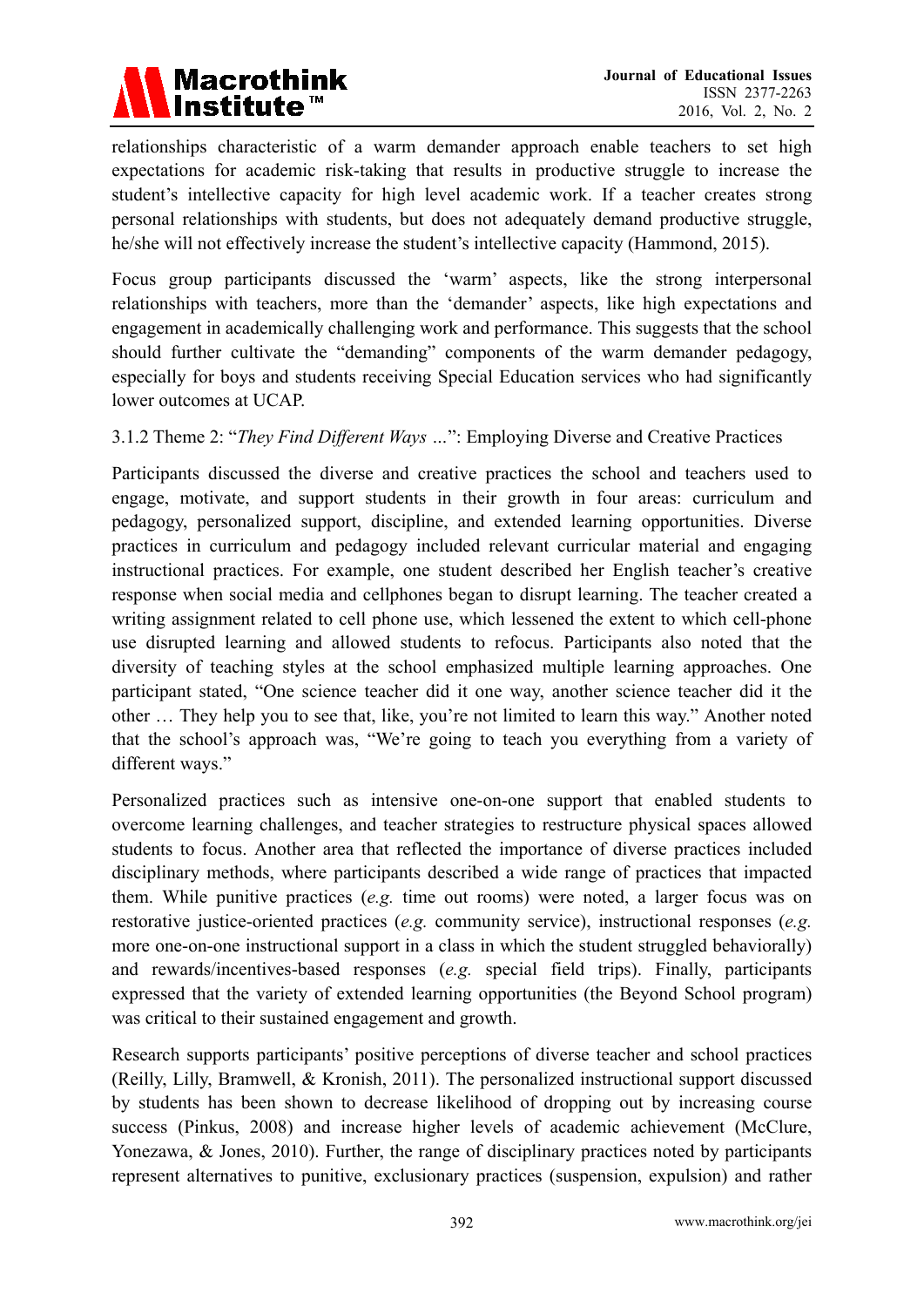

relationships characteristic of a warm demander approach enable teachers to set high expectations for academic risk-taking that results in productive struggle to increase the student's intellective capacity for high level academic work. If a teacher creates strong personal relationships with students, but does not adequately demand productive struggle, he/she will not effectively increase the student's intellective capacity (Hammond, 2015).

Focus group participants discussed the 'warm' aspects, like the strong interpersonal relationships with teachers, more than the 'demander' aspects, like high expectations and engagement in academically challenging work and performance. This suggests that the school should further cultivate the "demanding" components of the warm demander pedagogy, especially for boys and students receiving Special Education services who had significantly lower outcomes at UCAP.

#### 3.1.2 Theme 2: "*They Find Different Ways …*": Employing Diverse and Creative Practices

Participants discussed the diverse and creative practices the school and teachers used to engage, motivate, and support students in their growth in four areas: curriculum and pedagogy, personalized support, discipline, and extended learning opportunities. Diverse practices in curriculum and pedagogy included relevant curricular material and engaging instructional practices. For example, one student described her English teacher's creative response when social media and cellphones began to disrupt learning. The teacher created a writing assignment related to cell phone use, which lessened the extent to which cell-phone use disrupted learning and allowed students to refocus. Participants also noted that the diversity of teaching styles at the school emphasized multiple learning approaches. One participant stated, "One science teacher did it one way, another science teacher did it the other … They help you to see that, like, you're not limited to learn this way." Another noted that the school's approach was, "We're going to teach you everything from a variety of different ways."

Personalized practices such as intensive one-on-one support that enabled students to overcome learning challenges, and teacher strategies to restructure physical spaces allowed students to focus. Another area that reflected the importance of diverse practices included disciplinary methods, where participants described a wide range of practices that impacted them. While punitive practices (*e.g.* time out rooms) were noted, a larger focus was on restorative justice-oriented practices (*e.g.* community service), instructional responses (*e.g.* more one-on-one instructional support in a class in which the student struggled behaviorally) and rewards/incentives-based responses (*e.g.* special field trips). Finally, participants expressed that the variety of extended learning opportunities (the Beyond School program) was critical to their sustained engagement and growth.

Research supports participants' positive perceptions of diverse teacher and school practices (Reilly, Lilly, Bramwell, & Kronish, 2011). The personalized instructional support discussed by students has been shown to decrease likelihood of dropping out by increasing course success (Pinkus, 2008) and increase higher levels of academic achievement (McClure, Yonezawa, & Jones, 2010). Further, the range of disciplinary practices noted by participants represent alternatives to punitive, exclusionary practices (suspension, expulsion) and rather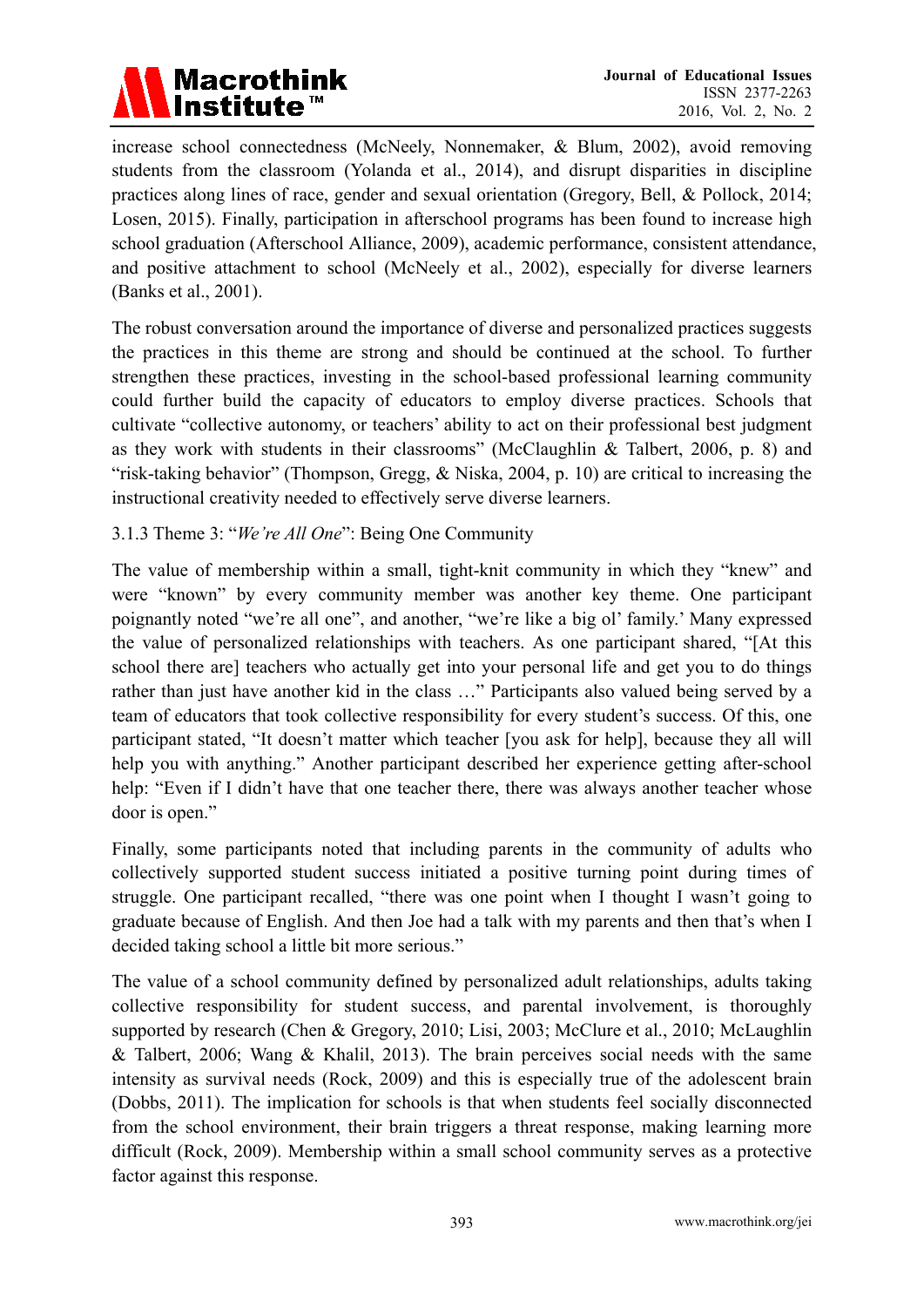

increase school connectedness (McNeely, Nonnemaker, & Blum, 2002), avoid removing students from the classroom (Yolanda et al., 2014), and disrupt disparities in discipline practices along lines of race, gender and sexual orientation (Gregory, Bell, & Pollock, 2014; Losen, 2015). Finally, participation in afterschool programs has been found to increase high school graduation (Afterschool Alliance, 2009), academic performance, consistent attendance, and positive attachment to school (McNeely et al., 2002), especially for diverse learners (Banks et al., 2001).

The robust conversation around the importance of diverse and personalized practices suggests the practices in this theme are strong and should be continued at the school. To further strengthen these practices, investing in the school-based professional learning community could further build the capacity of educators to employ diverse practices. Schools that cultivate "collective autonomy, or teachers' ability to act on their professional best judgment as they work with students in their classrooms" (McClaughlin & Talbert, 2006, p. 8) and "risk-taking behavior" (Thompson, Gregg, & Niska, 2004, p. 10) are critical to increasing the instructional creativity needed to effectively serve diverse learners.

#### 3.1.3 Theme 3: "*We're All One*": Being One Community

The value of membership within a small, tight-knit community in which they "knew" and were "known" by every community member was another key theme. One participant poignantly noted "we're all one", and another, "we're like a big ol' family.' Many expressed the value of personalized relationships with teachers. As one participant shared, "[At this school there are] teachers who actually get into your personal life and get you to do things rather than just have another kid in the class …" Participants also valued being served by a team of educators that took collective responsibility for every student's success. Of this, one participant stated, "It doesn't matter which teacher [you ask for help], because they all will help you with anything." Another participant described her experience getting after-school help: "Even if I didn't have that one teacher there, there was always another teacher whose door is open."

Finally, some participants noted that including parents in the community of adults who collectively supported student success initiated a positive turning point during times of struggle. One participant recalled, "there was one point when I thought I wasn't going to graduate because of English. And then Joe had a talk with my parents and then that's when I decided taking school a little bit more serious."

The value of a school community defined by personalized adult relationships, adults taking collective responsibility for student success, and parental involvement, is thoroughly supported by research (Chen & Gregory, 2010; Lisi, 2003; McClure et al., 2010; McLaughlin & Talbert, 2006; Wang & Khalil, 2013). The brain perceives social needs with the same intensity as survival needs (Rock, 2009) and this is especially true of the adolescent brain (Dobbs, 2011). The implication for schools is that when students feel socially disconnected from the school environment, their brain triggers a threat response, making learning more difficult (Rock, 2009). Membership within a small school community serves as a protective factor against this response.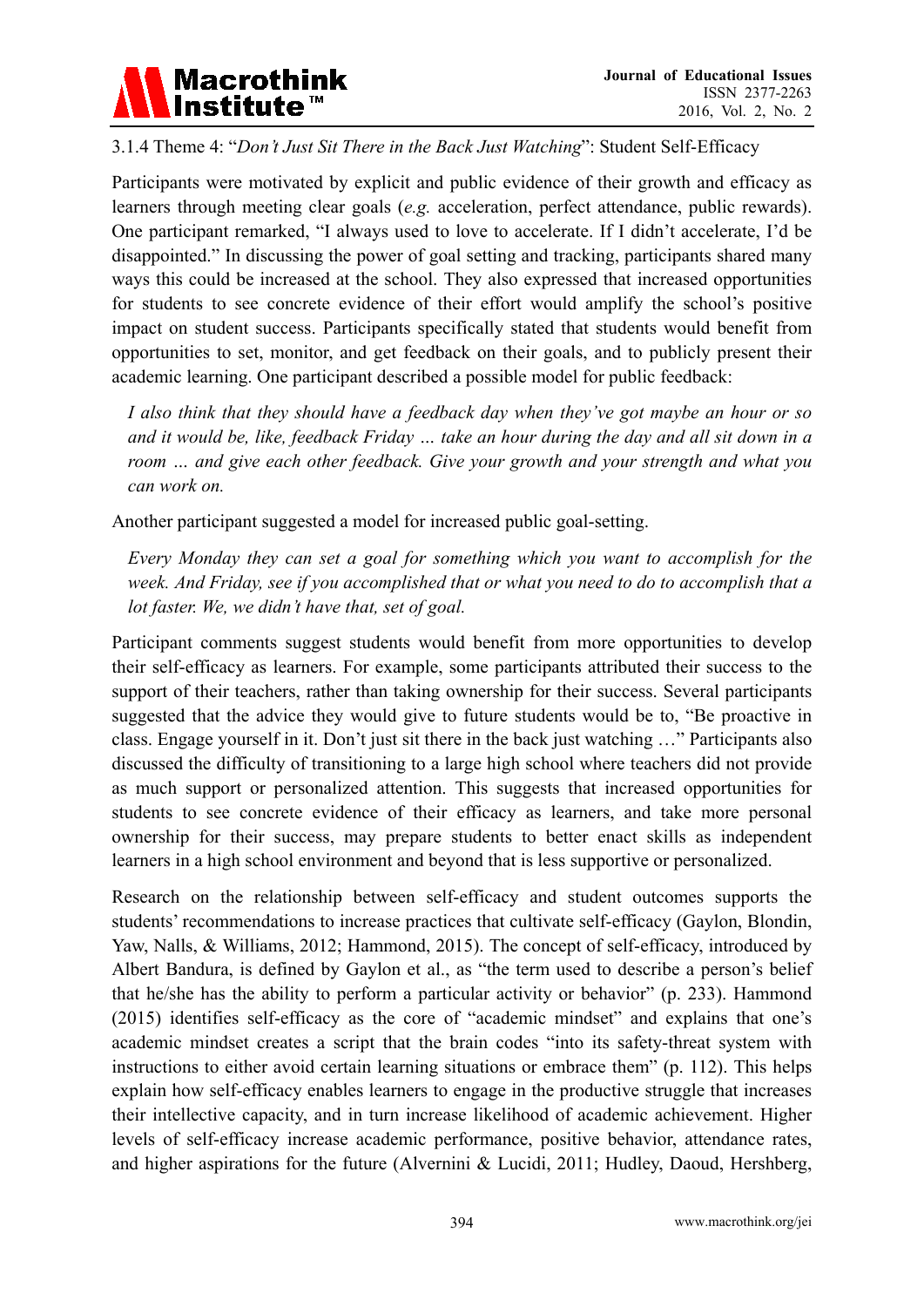

#### 3.1.4 Theme 4: "*Don't Just Sit There in the Back Just Watching*": Student Self-Efficacy

Participants were motivated by explicit and public evidence of their growth and efficacy as learners through meeting clear goals (*e.g.* acceleration, perfect attendance, public rewards). One participant remarked, "I always used to love to accelerate. If I didn't accelerate, I'd be disappointed." In discussing the power of goal setting and tracking, participants shared many ways this could be increased at the school. They also expressed that increased opportunities for students to see concrete evidence of their effort would amplify the school's positive impact on student success. Participants specifically stated that students would benefit from opportunities to set, monitor, and get feedback on their goals, and to publicly present their academic learning. One participant described a possible model for public feedback:

*I also think that they should have a feedback day when they've got maybe an hour or so and it would be, like, feedback Friday … take an hour during the day and all sit down in a room … and give each other feedback. Give your growth and your strength and what you can work on.* 

Another participant suggested a model for increased public goal-setting.

*Every Monday they can set a goal for something which you want to accomplish for the week. And Friday, see if you accomplished that or what you need to do to accomplish that a lot faster. We, we didn't have that, set of goal.* 

Participant comments suggest students would benefit from more opportunities to develop their self-efficacy as learners. For example, some participants attributed their success to the support of their teachers, rather than taking ownership for their success. Several participants suggested that the advice they would give to future students would be to, "Be proactive in class. Engage yourself in it. Don't just sit there in the back just watching …" Participants also discussed the difficulty of transitioning to a large high school where teachers did not provide as much support or personalized attention. This suggests that increased opportunities for students to see concrete evidence of their efficacy as learners, and take more personal ownership for their success, may prepare students to better enact skills as independent learners in a high school environment and beyond that is less supportive or personalized.

Research on the relationship between self-efficacy and student outcomes supports the students' recommendations to increase practices that cultivate self-efficacy (Gaylon, Blondin, Yaw, Nalls, & Williams, 2012; Hammond, 2015). The concept of self-efficacy, introduced by Albert Bandura, is defined by Gaylon et al., as "the term used to describe a person's belief that he/she has the ability to perform a particular activity or behavior" (p. 233). Hammond (2015) identifies self-efficacy as the core of "academic mindset" and explains that one's academic mindset creates a script that the brain codes "into its safety-threat system with instructions to either avoid certain learning situations or embrace them" (p. 112). This helps explain how self-efficacy enables learners to engage in the productive struggle that increases their intellective capacity, and in turn increase likelihood of academic achievement. Higher levels of self-efficacy increase academic performance, positive behavior, attendance rates, and higher aspirations for the future (Alvernini & Lucidi, 2011; Hudley, Daoud, Hershberg,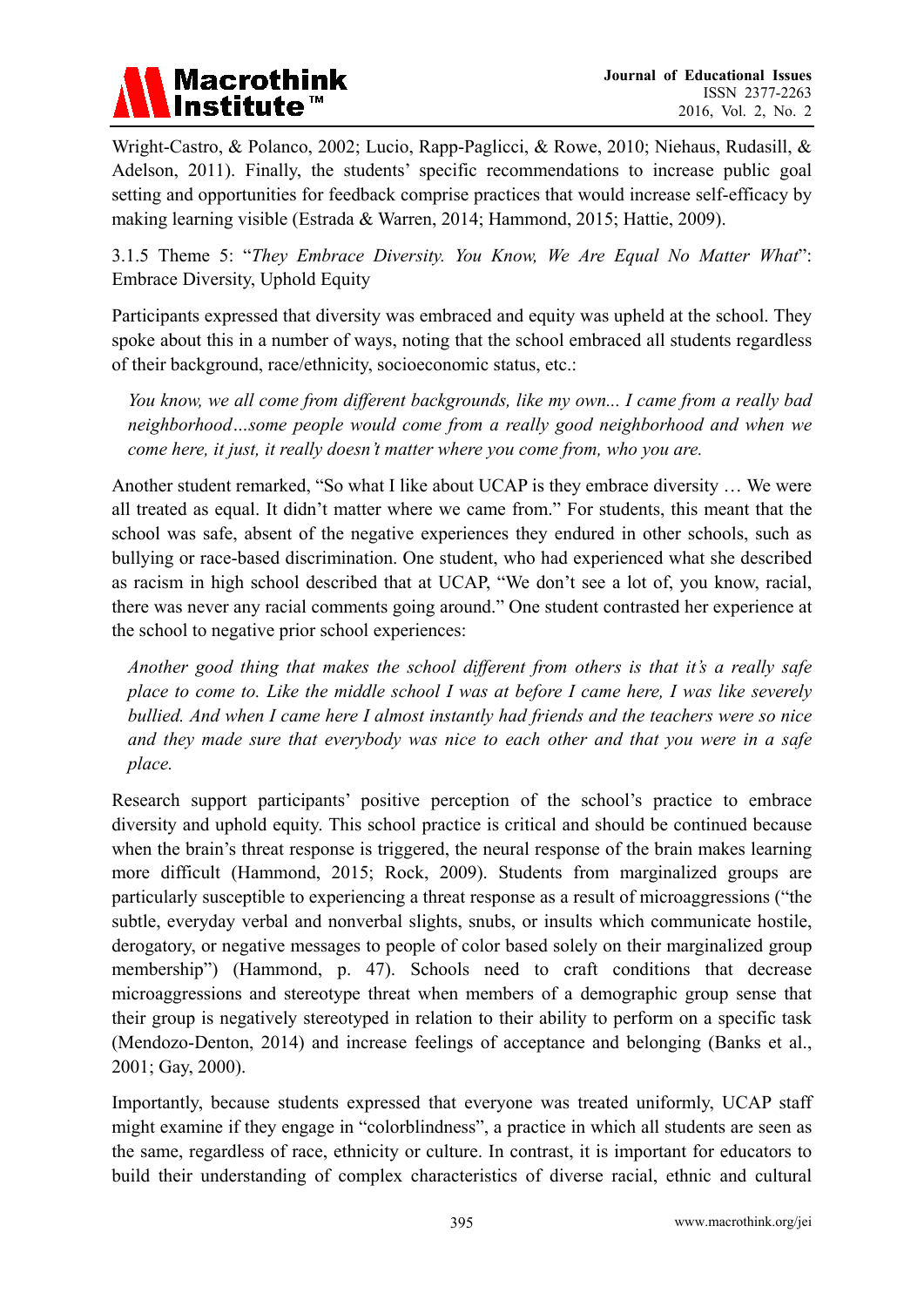

Wright-Castro, & Polanco, 2002; Lucio, Rapp-Paglicci, & Rowe, 2010; Niehaus, Rudasill, & Adelson, 2011). Finally, the students' specific recommendations to increase public goal setting and opportunities for feedback comprise practices that would increase self-efficacy by making learning visible (Estrada & Warren, 2014; Hammond, 2015; Hattie, 2009).

3.1.5 Theme 5: "*They Embrace Diversity. You Know, We Are Equal No Matter What*": Embrace Diversity, Uphold Equity

Participants expressed that diversity was embraced and equity was upheld at the school. They spoke about this in a number of ways, noting that the school embraced all students regardless of their background, race/ethnicity, socioeconomic status, etc.:

*You know, we all come from different backgrounds, like my own... I came from a really bad neighborhood…some people would come from a really good neighborhood and when we come here, it just, it really doesn't matter where you come from, who you are.* 

Another student remarked, "So what I like about UCAP is they embrace diversity … We were all treated as equal. It didn't matter where we came from." For students, this meant that the school was safe, absent of the negative experiences they endured in other schools, such as bullying or race-based discrimination. One student, who had experienced what she described as racism in high school described that at UCAP, "We don't see a lot of, you know, racial, there was never any racial comments going around." One student contrasted her experience at the school to negative prior school experiences:

*Another good thing that makes the school different from others is that it's a really safe place to come to. Like the middle school I was at before I came here, I was like severely bullied. And when I came here I almost instantly had friends and the teachers were so nice and they made sure that everybody was nice to each other and that you were in a safe place.* 

Research support participants' positive perception of the school's practice to embrace diversity and uphold equity. This school practice is critical and should be continued because when the brain's threat response is triggered, the neural response of the brain makes learning more difficult (Hammond, 2015; Rock, 2009). Students from marginalized groups are particularly susceptible to experiencing a threat response as a result of microaggressions ("the subtle, everyday verbal and nonverbal slights, snubs, or insults which communicate hostile, derogatory, or negative messages to people of color based solely on their marginalized group membership") (Hammond, p. 47). Schools need to craft conditions that decrease microaggressions and stereotype threat when members of a demographic group sense that their group is negatively stereotyped in relation to their ability to perform on a specific task (Mendozo-Denton, 2014) and increase feelings of acceptance and belonging (Banks et al., 2001; Gay, 2000).

Importantly, because students expressed that everyone was treated uniformly, UCAP staff might examine if they engage in "colorblindness", a practice in which all students are seen as the same, regardless of race, ethnicity or culture. In contrast, it is important for educators to build their understanding of complex characteristics of diverse racial, ethnic and cultural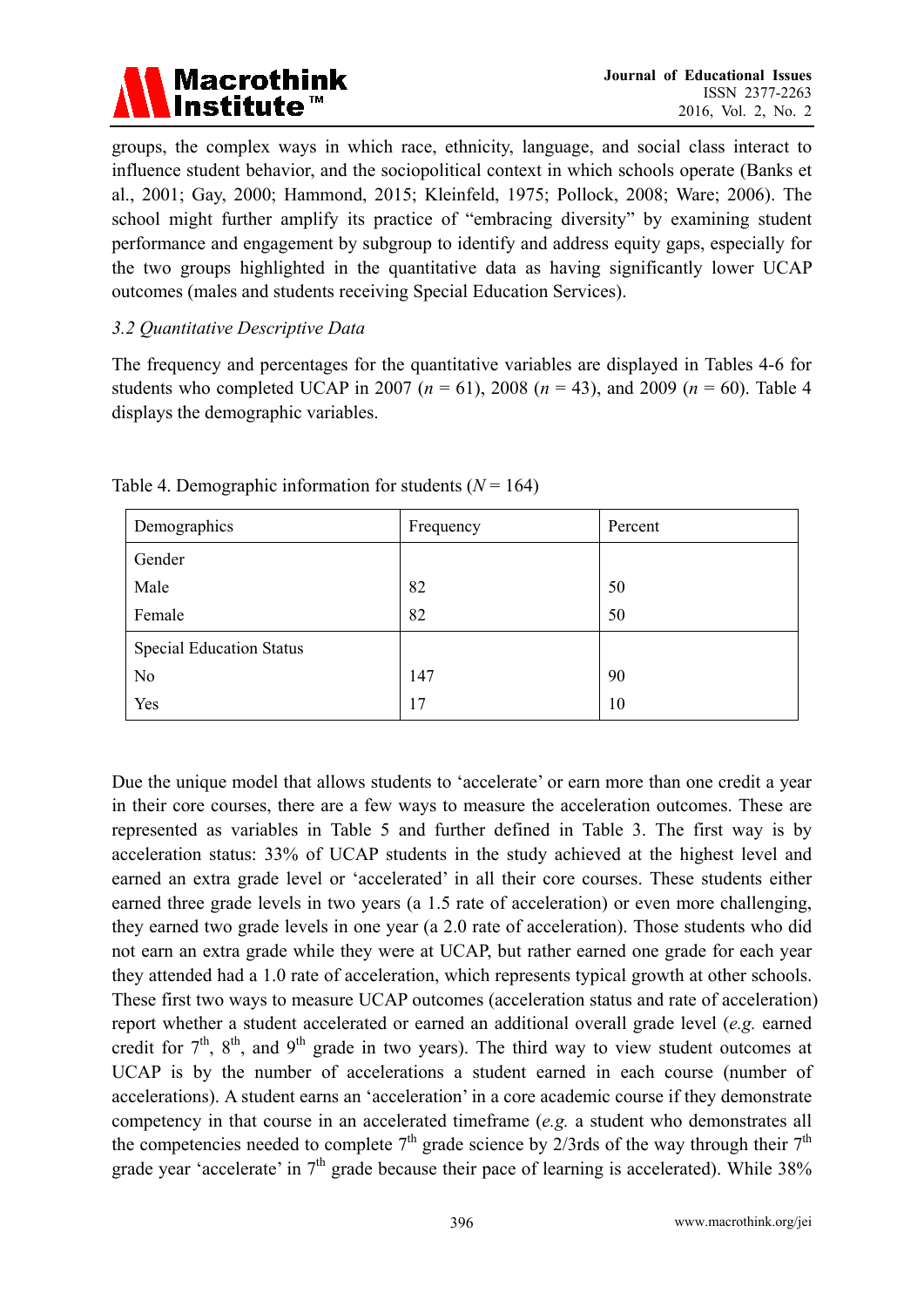

groups, the complex ways in which race, ethnicity, language, and social class interact to influence student behavior, and the sociopolitical context in which schools operate (Banks et al., 2001; Gay, 2000; Hammond, 2015; Kleinfeld, 1975; Pollock, 2008; Ware; 2006). The school might further amplify its practice of "embracing diversity" by examining student performance and engagement by subgroup to identify and address equity gaps, especially for the two groups highlighted in the quantitative data as having significantly lower UCAP outcomes (males and students receiving Special Education Services).

#### *3.2 Quantitative Descriptive Data*

The frequency and percentages for the quantitative variables are displayed in Tables 4-6 for students who completed UCAP in 2007 ( $n = 61$ ), 2008 ( $n = 43$ ), and 2009 ( $n = 60$ ). Table 4 displays the demographic variables.

| Demographics                    | Frequency | Percent |
|---------------------------------|-----------|---------|
| Gender                          |           |         |
| Male                            | 82        | 50      |
| Female                          | 82        | 50      |
| <b>Special Education Status</b> |           |         |
| N <sub>0</sub>                  | 147       | 90      |
| Yes                             | 17        | 10      |

Table 4. Demographic information for students  $(N = 164)$ 

Due the unique model that allows students to 'accelerate' or earn more than one credit a year in their core courses, there are a few ways to measure the acceleration outcomes. These are represented as variables in Table 5 and further defined in Table 3. The first way is by acceleration status: 33% of UCAP students in the study achieved at the highest level and earned an extra grade level or 'accelerated' in all their core courses. These students either earned three grade levels in two years (a 1.5 rate of acceleration) or even more challenging, they earned two grade levels in one year (a 2.0 rate of acceleration). Those students who did not earn an extra grade while they were at UCAP, but rather earned one grade for each year they attended had a 1.0 rate of acceleration, which represents typical growth at other schools. These first two ways to measure UCAP outcomes (acceleration status and rate of acceleration) report whether a student accelerated or earned an additional overall grade level (*e.g.* earned credit for  $7<sup>th</sup>$ ,  $8<sup>th</sup>$ , and  $9<sup>th</sup>$  grade in two years). The third way to view student outcomes at UCAP is by the number of accelerations a student earned in each course (number of accelerations). A student earns an 'acceleration' in a core academic course if they demonstrate competency in that course in an accelerated timeframe (*e.g.* a student who demonstrates all the competencies needed to complete  $7<sup>th</sup>$  grade science by 2/3rds of the way through their  $7<sup>th</sup>$ grade year 'accelerate' in  $7<sup>th</sup>$  grade because their pace of learning is accelerated). While  $38\%$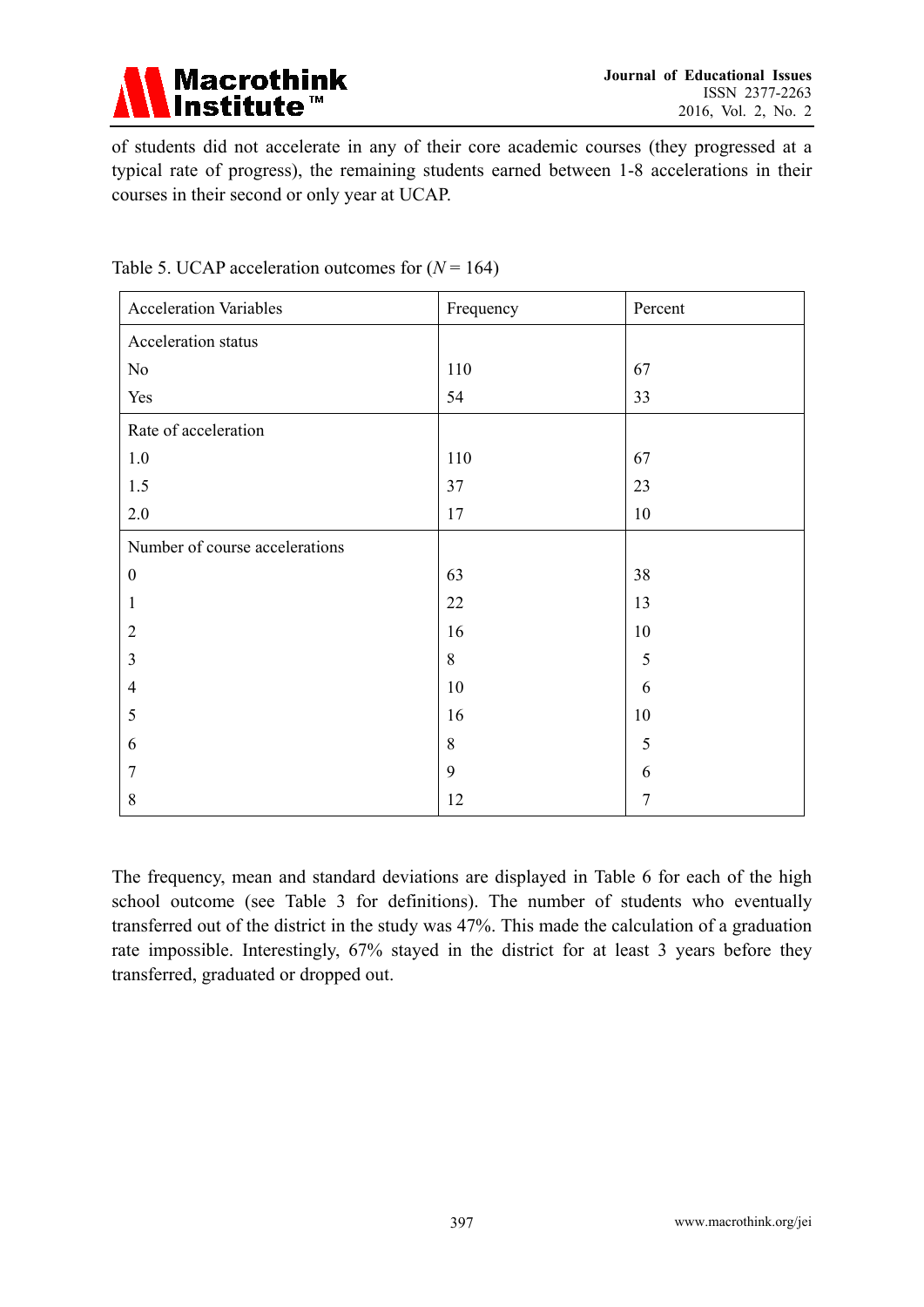

of students did not accelerate in any of their core academic courses (they progressed at a typical rate of progress), the remaining students earned between 1-8 accelerations in their courses in their second or only year at UCAP.

| <b>Acceleration Variables</b>  | Frequency | Percent        |
|--------------------------------|-----------|----------------|
| Acceleration status            |           |                |
| N <sub>0</sub>                 | 110       | 67             |
| Yes                            | 54        | 33             |
| Rate of acceleration           |           |                |
| $1.0$                          | 110       | 67             |
| 1.5                            | 37        | 23             |
| 2.0                            | 17        | 10             |
| Number of course accelerations |           |                |
| $\boldsymbol{0}$               | 63        | 38             |
| 1                              | 22        | 13             |
| $\overline{2}$                 | 16        | 10             |
| $\overline{3}$                 | $8\,$     | 5              |
| $\overline{4}$                 | 10        | 6              |
| 5                              | 16        | 10             |
| 6                              | $\,8\,$   | 5              |
| 7                              | 9         | 6              |
| 8                              | 12        | $\overline{7}$ |

Table 5. UCAP acceleration outcomes for  $(N = 164)$ 

The frequency, mean and standard deviations are displayed in Table 6 for each of the high school outcome (see Table 3 for definitions). The number of students who eventually transferred out of the district in the study was 47%. This made the calculation of a graduation rate impossible. Interestingly, 67% stayed in the district for at least 3 years before they transferred, graduated or dropped out.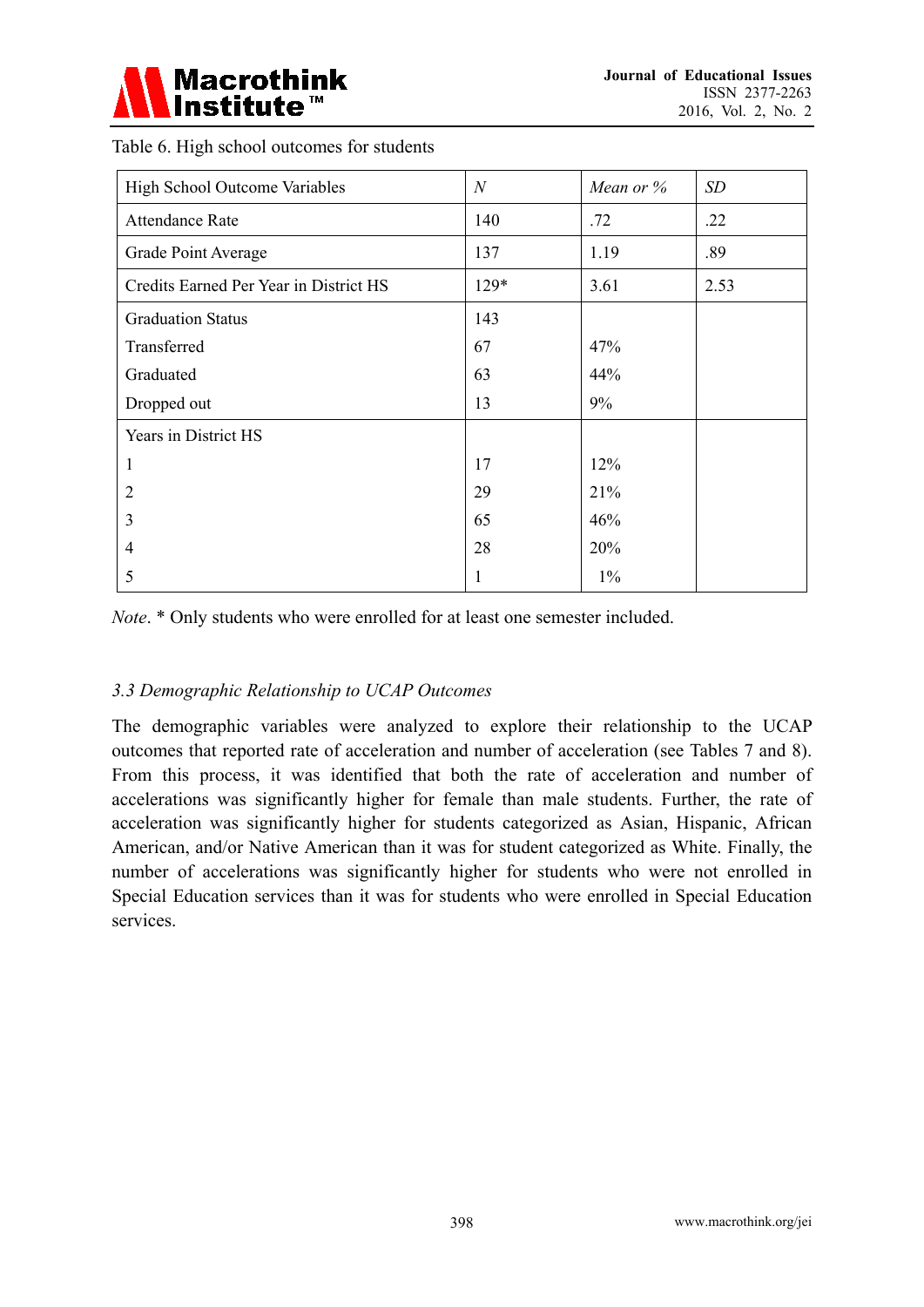

| High School Outcome Variables          | $\mathcal N$ | Mean or % | SD   |
|----------------------------------------|--------------|-----------|------|
| Attendance Rate                        | 140          | .72       | .22  |
| Grade Point Average                    | 137          | 1.19      | .89  |
| Credits Earned Per Year in District HS | $129*$       | 3.61      | 2.53 |
| <b>Graduation Status</b>               | 143          |           |      |
| Transferred                            | 67           | 47%       |      |
| Graduated                              | 63           | 44%       |      |
| Dropped out                            | 13           | 9%        |      |
| Years in District HS                   |              |           |      |
|                                        | 17           | 12%       |      |
| 2                                      | 29           | 21%       |      |
| 3                                      | 65           | 46%       |      |
| 4                                      | 28           | 20%       |      |
| 5                                      | 1            | $1\%$     |      |

Table 6. High school outcomes for students

*Note*. \* Only students who were enrolled for at least one semester included.

#### *3.3 Demographic Relationship to UCAP Outcomes*

The demographic variables were analyzed to explore their relationship to the UCAP outcomes that reported rate of acceleration and number of acceleration (see Tables 7 and 8). From this process, it was identified that both the rate of acceleration and number of accelerations was significantly higher for female than male students. Further, the rate of acceleration was significantly higher for students categorized as Asian, Hispanic, African American, and/or Native American than it was for student categorized as White. Finally, the number of accelerations was significantly higher for students who were not enrolled in Special Education services than it was for students who were enrolled in Special Education services.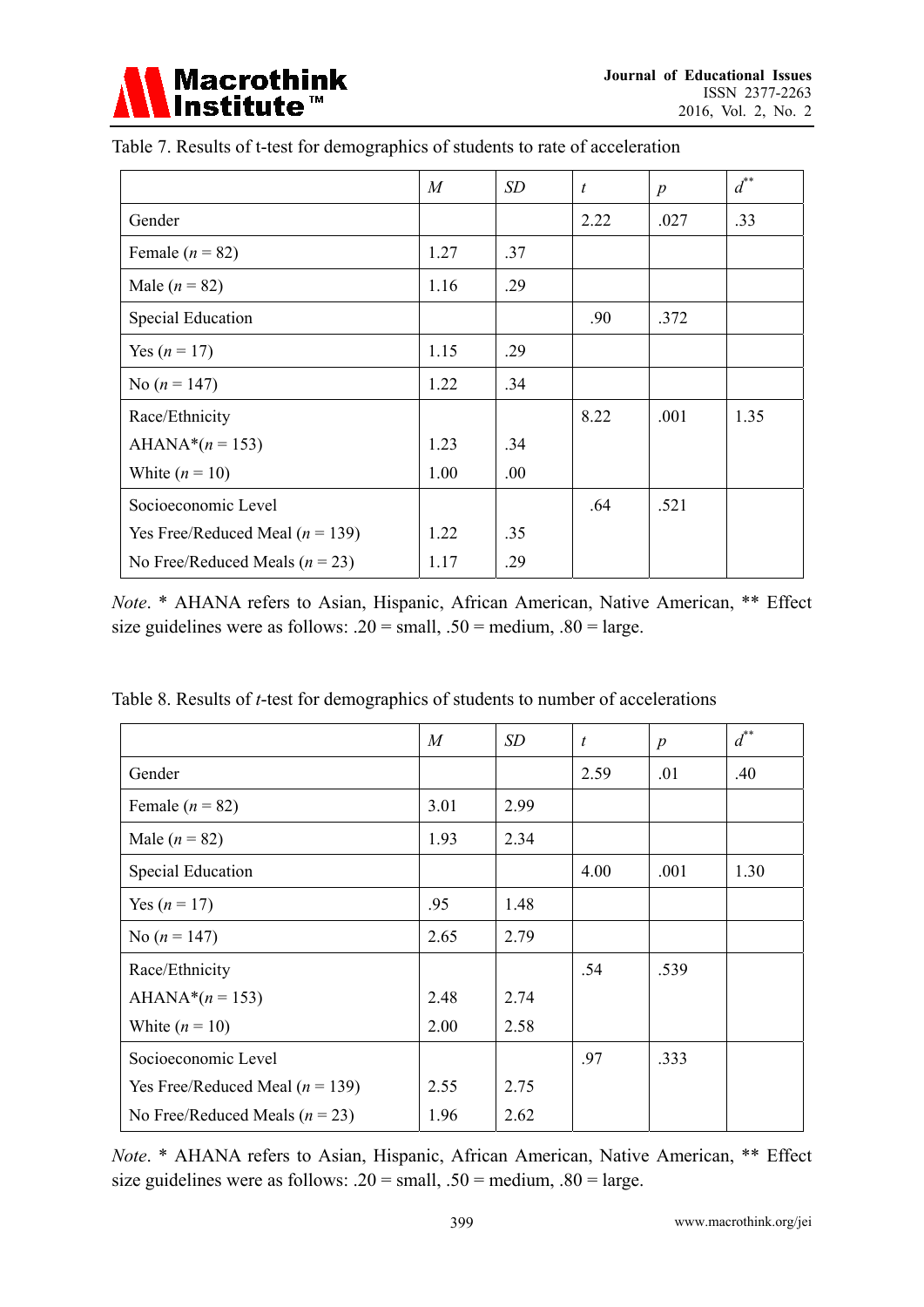

|                                     | $\boldsymbol{M}$ | SD   | $\mathfrak{t}$ | $\boldsymbol{p}$ | $d^*$ |
|-------------------------------------|------------------|------|----------------|------------------|-------|
| Gender                              |                  |      | 2.22           | .027             | .33   |
| Female $(n = 82)$                   | 1.27             | .37  |                |                  |       |
| Male $(n = 82)$                     | 1.16             | .29  |                |                  |       |
| <b>Special Education</b>            |                  |      | .90            | .372             |       |
| Yes $(n = 17)$                      | 1.15             | .29  |                |                  |       |
| No $(n = 147)$                      | 1.22             | .34  |                |                  |       |
| Race/Ethnicity                      |                  |      | 8.22           | .001             | 1.35  |
| AHANA* $(n = 153)$                  | 1.23             | .34  |                |                  |       |
| White $(n = 10)$                    | 1.00             | .00. |                |                  |       |
| Socioeconomic Level                 |                  |      | .64            | .521             |       |
| Yes Free/Reduced Meal ( $n = 139$ ) | 1.22             | .35  |                |                  |       |
| No Free/Reduced Meals ( $n = 23$ )  | 1.17             | .29  |                |                  |       |

Table 7. Results of t-test for demographics of students to rate of acceleration

*Note*. \* AHANA refers to Asian, Hispanic, African American, Native American, \*\* Effect size guidelines were as follows:  $.20 = \text{small}$ ,  $.50 = \text{medium}$ ,  $.80 = \text{large}$ .

|  |  |  | Table 8. Results of <i>t</i> -test for demographics of students to number of accelerations |
|--|--|--|--------------------------------------------------------------------------------------------|
|  |  |  |                                                                                            |
|  |  |  |                                                                                            |
|  |  |  |                                                                                            |

|                                     | $\overline{M}$ | SD   | $\boldsymbol{t}$ | $\boldsymbol{p}$ | $d^{**}$ |
|-------------------------------------|----------------|------|------------------|------------------|----------|
| Gender                              |                |      | 2.59             | .01              | .40      |
| Female $(n = 82)$                   | 3.01           | 2.99 |                  |                  |          |
| Male $(n = 82)$                     | 1.93           | 2.34 |                  |                  |          |
| <b>Special Education</b>            |                |      | 4.00             | .001             | 1.30     |
| Yes $(n = 17)$                      | .95            | 1.48 |                  |                  |          |
| No $(n = 147)$                      | 2.65           | 2.79 |                  |                  |          |
| Race/Ethnicity                      |                |      | .54              | .539             |          |
| AHANA* $(n = 153)$                  | 2.48           | 2.74 |                  |                  |          |
| White $(n = 10)$                    | 2.00           | 2.58 |                  |                  |          |
| Socioeconomic Level                 |                |      | .97              | .333             |          |
| Yes Free/Reduced Meal ( $n = 139$ ) | 2.55           | 2.75 |                  |                  |          |
| No Free/Reduced Meals ( $n = 23$ )  | 1.96           | 2.62 |                  |                  |          |

*Note*. \* AHANA refers to Asian, Hispanic, African American, Native American, \*\* Effect size guidelines were as follows:  $.20 = \text{small}$ ,  $.50 = \text{medium}$ ,  $.80 = \text{large}$ .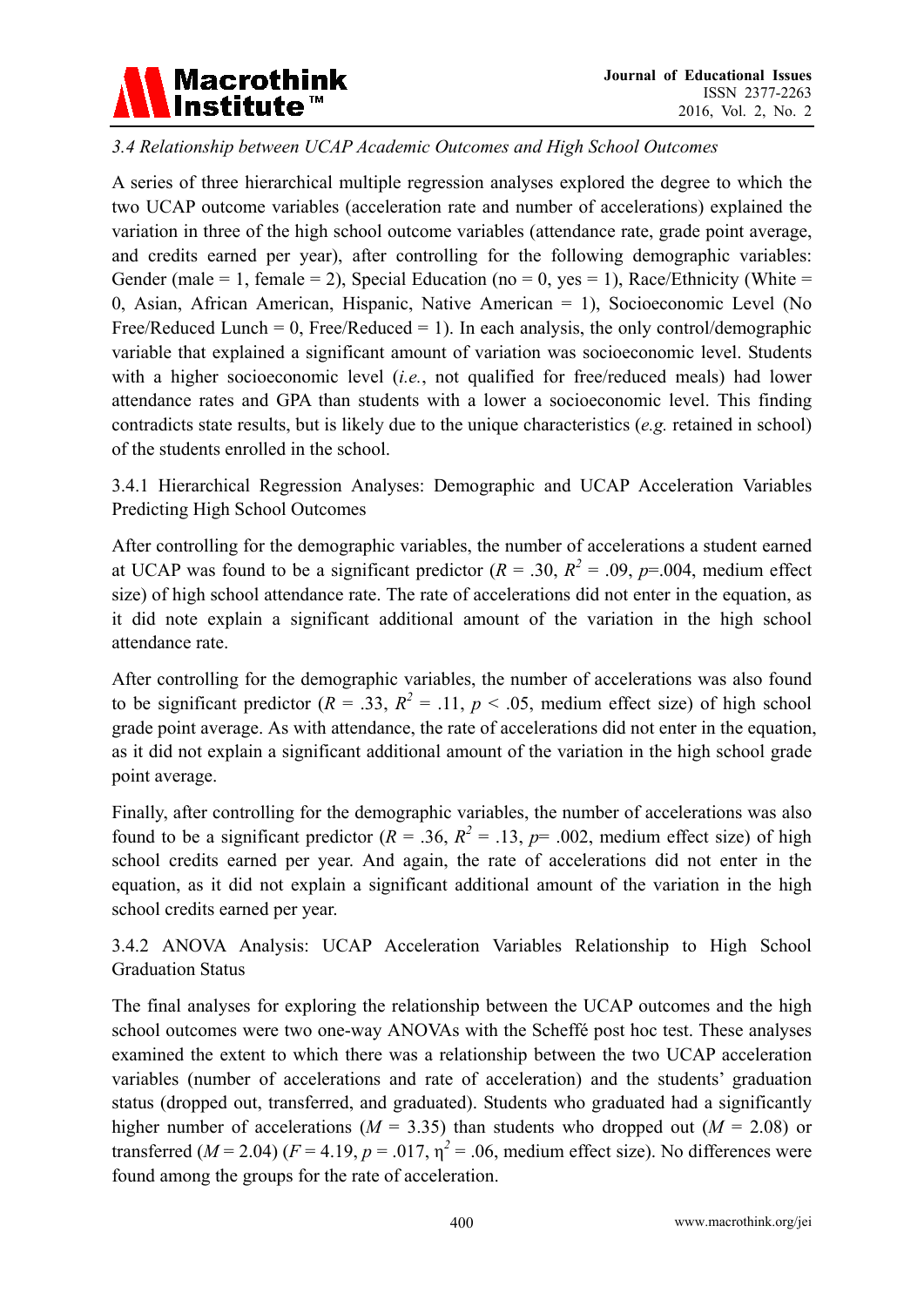

#### *3.4 Relationship between UCAP Academic Outcomes and High School Outcomes*

A series of three hierarchical multiple regression analyses explored the degree to which the two UCAP outcome variables (acceleration rate and number of accelerations) explained the variation in three of the high school outcome variables (attendance rate, grade point average, and credits earned per year), after controlling for the following demographic variables: Gender (male = 1, female = 2), Special Education (no = 0, yes = 1), Race/Ethnicity (White = 0, Asian, African American, Hispanic, Native American = 1), Socioeconomic Level (No Free/Reduced Lunch = 0, Free/Reduced = 1). In each analysis, the only control/demographic variable that explained a significant amount of variation was socioeconomic level. Students with a higher socioeconomic level (*i.e.*, not qualified for free/reduced meals) had lower attendance rates and GPA than students with a lower a socioeconomic level. This finding contradicts state results, but is likely due to the unique characteristics (*e.g.* retained in school) of the students enrolled in the school.

3.4.1 Hierarchical Regression Analyses: Demographic and UCAP Acceleration Variables Predicting High School Outcomes

After controlling for the demographic variables, the number of accelerations a student earned at UCAP was found to be a significant predictor ( $R = .30$ ,  $R^2 = .09$ ,  $p = .004$ , medium effect size) of high school attendance rate. The rate of accelerations did not enter in the equation, as it did note explain a significant additional amount of the variation in the high school attendance rate.

After controlling for the demographic variables, the number of accelerations was also found to be significant predictor  $(R = .33, R^2 = .11, p < .05,$  medium effect size) of high school grade point average. As with attendance, the rate of accelerations did not enter in the equation, as it did not explain a significant additional amount of the variation in the high school grade point average.

Finally, after controlling for the demographic variables, the number of accelerations was also found to be a significant predictor ( $R = .36$ ,  $R^2 = .13$ ,  $p = .002$ , medium effect size) of high school credits earned per year. And again, the rate of accelerations did not enter in the equation, as it did not explain a significant additional amount of the variation in the high school credits earned per year.

3.4.2 ANOVA Analysis: UCAP Acceleration Variables Relationship to High School Graduation Status

The final analyses for exploring the relationship between the UCAP outcomes and the high school outcomes were two one-way ANOVAs with the Scheffé post hoc test. These analyses examined the extent to which there was a relationship between the two UCAP acceleration variables (number of accelerations and rate of acceleration) and the students' graduation status (dropped out, transferred, and graduated). Students who graduated had a significantly higher number of accelerations ( $M = 3.35$ ) than students who dropped out ( $M = 2.08$ ) or transferred ( $M = 2.04$ ) ( $F = 4.19$ ,  $p = .017$ ,  $\eta^2 = .06$ , medium effect size). No differences were found among the groups for the rate of acceleration.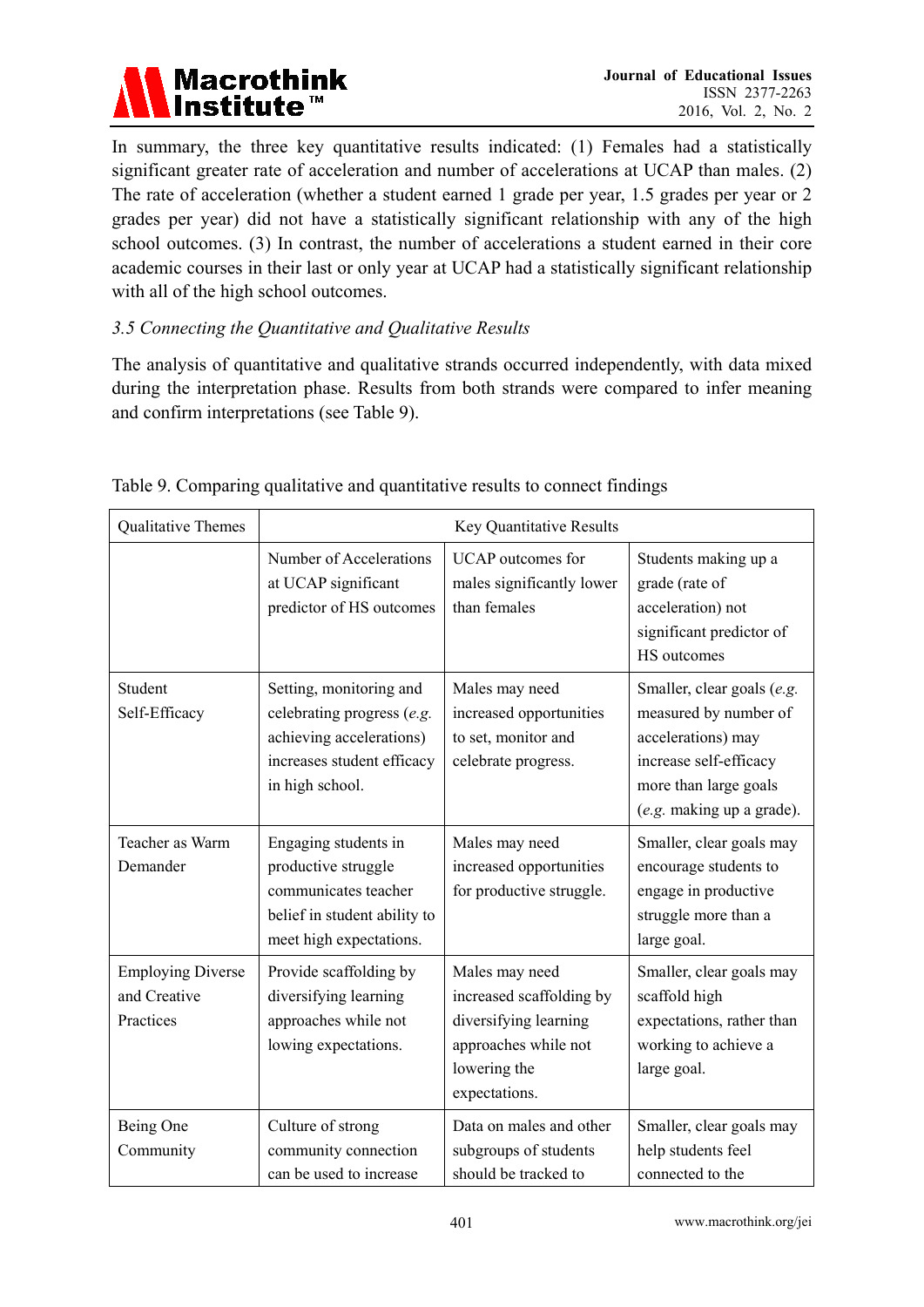

In summary, the three key quantitative results indicated: (1) Females had a statistically significant greater rate of acceleration and number of accelerations at UCAP than males. (2) The rate of acceleration (whether a student earned 1 grade per year, 1.5 grades per year or 2 grades per year) did not have a statistically significant relationship with any of the high school outcomes. (3) In contrast, the number of accelerations a student earned in their core academic courses in their last or only year at UCAP had a statistically significant relationship with all of the high school outcomes.

#### *3.5 Connecting the Quantitative and Qualitative Results*

The analysis of quantitative and qualitative strands occurred independently, with data mixed during the interpretation phase. Results from both strands were compared to infer meaning and confirm interpretations (see Table 9).

| Qualitative Themes                                    | Key Quantitative Results                                                                                                           |                                                                                                                              |                                                                                                                                                             |  |  |
|-------------------------------------------------------|------------------------------------------------------------------------------------------------------------------------------------|------------------------------------------------------------------------------------------------------------------------------|-------------------------------------------------------------------------------------------------------------------------------------------------------------|--|--|
|                                                       | Number of Accelerations<br>at UCAP significant<br>predictor of HS outcomes                                                         | <b>UCAP</b> outcomes for<br>males significantly lower<br>than females                                                        | Students making up a<br>grade (rate of<br>acceleration) not<br>significant predictor of<br>HS outcomes                                                      |  |  |
| Student<br>Self-Efficacy                              | Setting, monitoring and<br>celebrating progress (e.g.<br>achieving accelerations)<br>increases student efficacy<br>in high school. | Males may need<br>increased opportunities<br>to set, monitor and<br>celebrate progress.                                      | Smaller, clear goals (e.g.<br>measured by number of<br>accelerations) may<br>increase self-efficacy<br>more than large goals<br>$(e.g.$ making up a grade). |  |  |
| Teacher as Warm<br>Demander                           | Engaging students in<br>productive struggle<br>communicates teacher<br>belief in student ability to<br>meet high expectations.     | Males may need<br>increased opportunities<br>for productive struggle.                                                        | Smaller, clear goals may<br>encourage students to<br>engage in productive<br>struggle more than a<br>large goal.                                            |  |  |
| <b>Employing Diverse</b><br>and Creative<br>Practices | Provide scaffolding by<br>diversifying learning<br>approaches while not<br>lowing expectations.                                    | Males may need<br>increased scaffolding by<br>diversifying learning<br>approaches while not<br>lowering the<br>expectations. | Smaller, clear goals may<br>scaffold high<br>expectations, rather than<br>working to achieve a<br>large goal.                                               |  |  |
| Being One<br>Community                                | Culture of strong<br>community connection<br>can be used to increase                                                               | Data on males and other<br>subgroups of students<br>should be tracked to                                                     | Smaller, clear goals may<br>help students feel<br>connected to the                                                                                          |  |  |

#### Table 9. Comparing qualitative and quantitative results to connect findings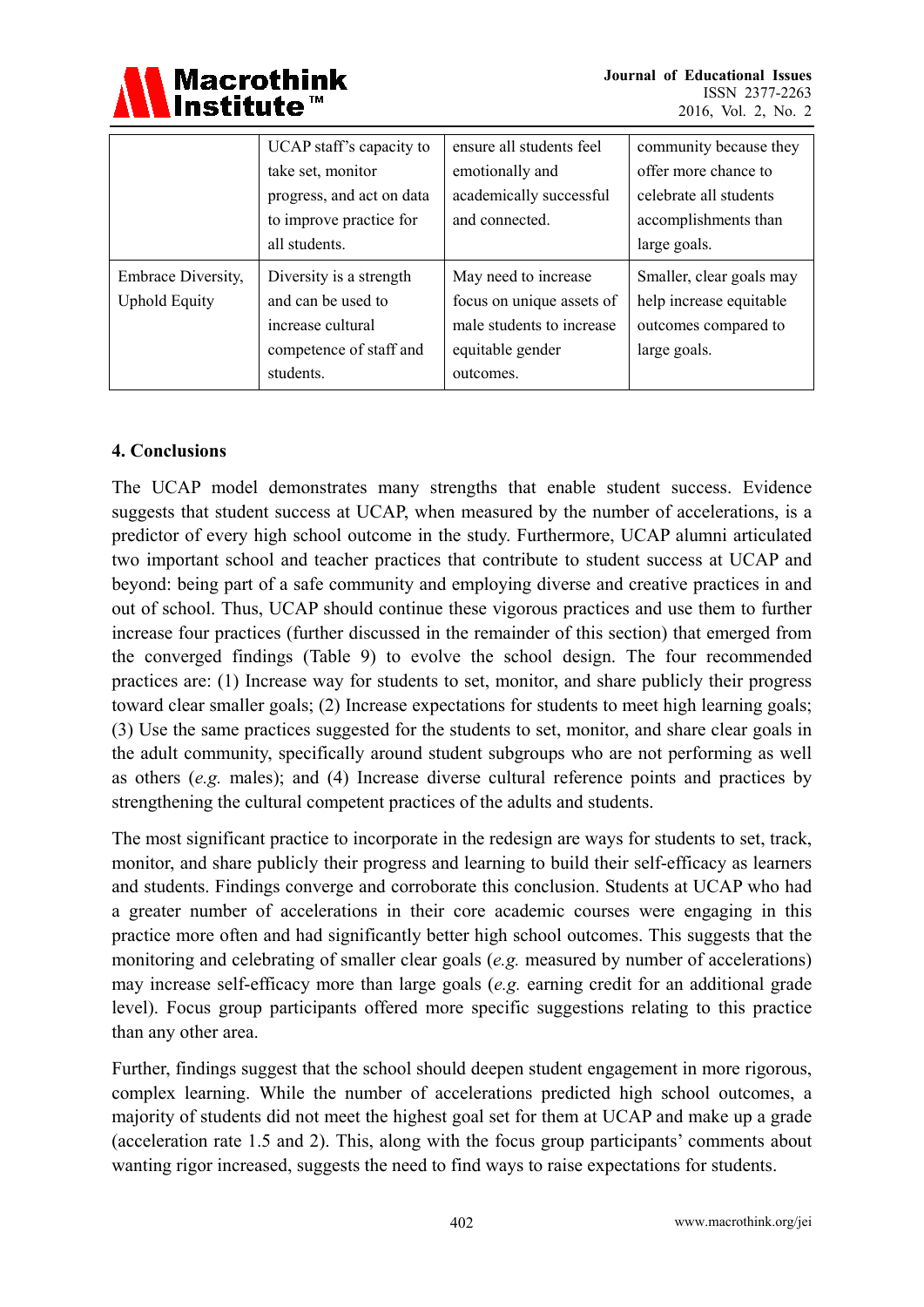

|                                            | UCAP staff's capacity to<br>take set, monitor<br>progress, and act on data<br>to improve practice for<br>all students. | ensure all students feel<br>emotionally and<br>academically successful<br>and connected.                        | community because they<br>offer more chance to<br>celebrate all students<br>accomplishments than<br>large goals. |
|--------------------------------------------|------------------------------------------------------------------------------------------------------------------------|-----------------------------------------------------------------------------------------------------------------|------------------------------------------------------------------------------------------------------------------|
| Embrace Diversity,<br><b>Uphold Equity</b> | Diversity is a strength<br>and can be used to<br>increase cultural<br>competence of staff and<br>students.             | May need to increase<br>focus on unique assets of<br>male students to increase<br>equitable gender<br>outcomes. | Smaller, clear goals may<br>help increase equitable<br>outcomes compared to<br>large goals.                      |

#### **4. Conclusions**

The UCAP model demonstrates many strengths that enable student success. Evidence suggests that student success at UCAP, when measured by the number of accelerations, is a predictor of every high school outcome in the study. Furthermore, UCAP alumni articulated two important school and teacher practices that contribute to student success at UCAP and beyond: being part of a safe community and employing diverse and creative practices in and out of school. Thus, UCAP should continue these vigorous practices and use them to further increase four practices (further discussed in the remainder of this section) that emerged from the converged findings (Table 9) to evolve the school design. The four recommended practices are: (1) Increase way for students to set, monitor, and share publicly their progress toward clear smaller goals; (2) Increase expectations for students to meet high learning goals; (3) Use the same practices suggested for the students to set, monitor, and share clear goals in the adult community, specifically around student subgroups who are not performing as well as others (*e.g.* males); and (4) Increase diverse cultural reference points and practices by strengthening the cultural competent practices of the adults and students.

The most significant practice to incorporate in the redesign are ways for students to set, track, monitor, and share publicly their progress and learning to build their self-efficacy as learners and students. Findings converge and corroborate this conclusion. Students at UCAP who had a greater number of accelerations in their core academic courses were engaging in this practice more often and had significantly better high school outcomes. This suggests that the monitoring and celebrating of smaller clear goals (*e.g.* measured by number of accelerations) may increase self-efficacy more than large goals (*e.g.* earning credit for an additional grade level). Focus group participants offered more specific suggestions relating to this practice than any other area.

Further, findings suggest that the school should deepen student engagement in more rigorous, complex learning. While the number of accelerations predicted high school outcomes, a majority of students did not meet the highest goal set for them at UCAP and make up a grade (acceleration rate 1.5 and 2). This, along with the focus group participants' comments about wanting rigor increased, suggests the need to find ways to raise expectations for students.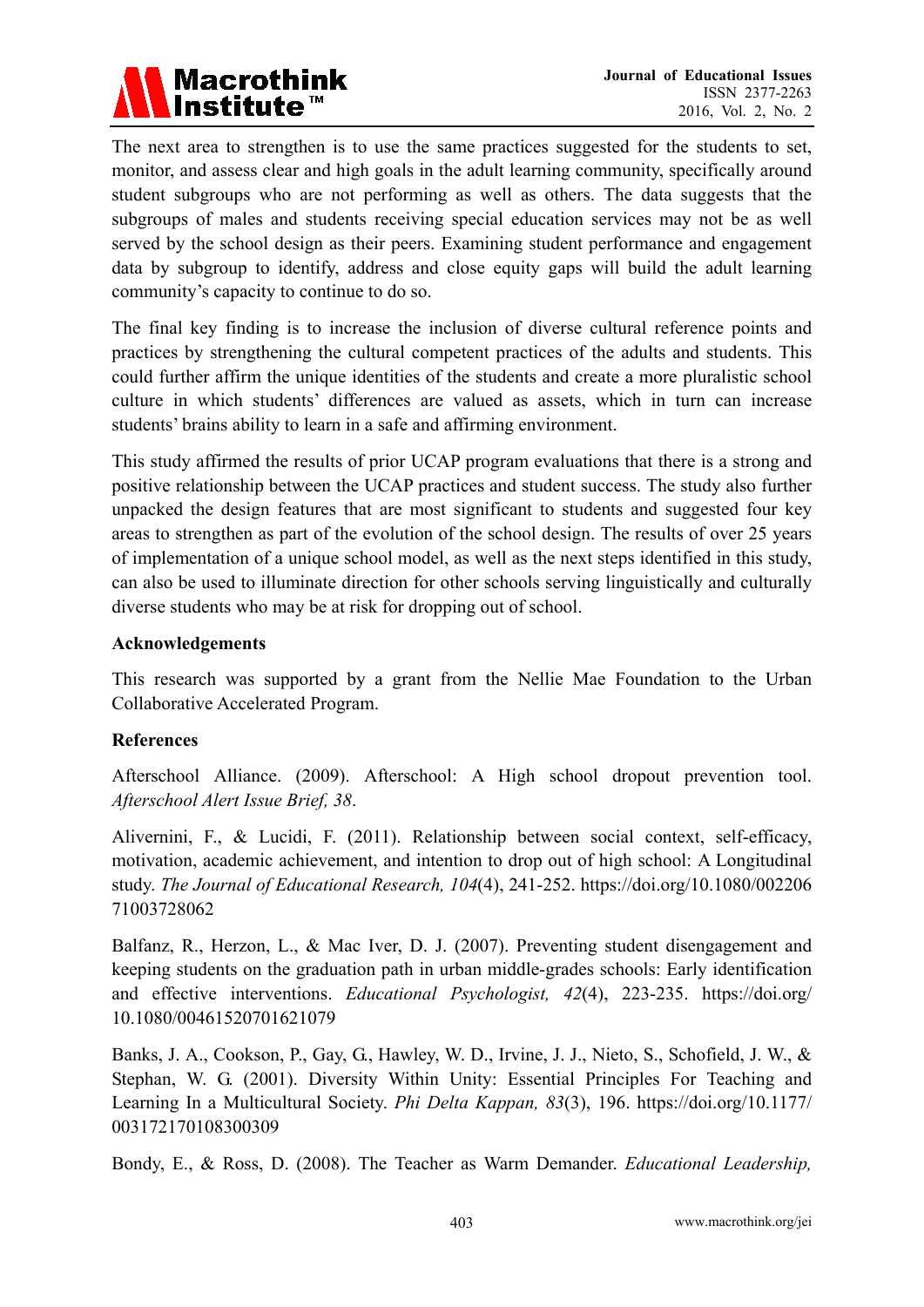

The next area to strengthen is to use the same practices suggested for the students to set, monitor, and assess clear and high goals in the adult learning community, specifically around student subgroups who are not performing as well as others. The data suggests that the subgroups of males and students receiving special education services may not be as well served by the school design as their peers. Examining student performance and engagement data by subgroup to identify, address and close equity gaps will build the adult learning community's capacity to continue to do so.

The final key finding is to increase the inclusion of diverse cultural reference points and practices by strengthening the cultural competent practices of the adults and students. This could further affirm the unique identities of the students and create a more pluralistic school culture in which students' differences are valued as assets, which in turn can increase students' brains ability to learn in a safe and affirming environment.

This study affirmed the results of prior UCAP program evaluations that there is a strong and positive relationship between the UCAP practices and student success. The study also further unpacked the design features that are most significant to students and suggested four key areas to strengthen as part of the evolution of the school design. The results of over 25 years of implementation of a unique school model, as well as the next steps identified in this study, can also be used to illuminate direction for other schools serving linguistically and culturally diverse students who may be at risk for dropping out of school.

#### **Acknowledgements**

This research was supported by a grant from the Nellie Mae Foundation to the Urban Collaborative Accelerated Program.

#### **References**

Afterschool Alliance. (2009). Afterschool: A High school dropout prevention tool. *Afterschool Alert Issue Brief, 38*.

Alivernini, F., & Lucidi, F. (2011). Relationship between social context, self-efficacy, motivation, academic achievement, and intention to drop out of high school: A Longitudinal study. *The Journal of Educational Research, 104*(4), 241-252. https://doi.org/10.1080/002206 71003728062

Balfanz, R., Herzon, L., & Mac Iver, D. J. (2007). Preventing student disengagement and keeping students on the graduation path in urban middle-grades schools: Early identification and effective interventions. *Educational Psychologist, 42*(4), 223-235. https://doi.org/ 10.1080/00461520701621079

Banks, J. A., Cookson, P., Gay, G., Hawley, W. D., Irvine, J. J., Nieto, S., Schofield, J. W., & Stephan, W. G. (2001). Diversity Within Unity: Essential Principles For Teaching and Learning In a Multicultural Society. *Phi Delta Kappan, 83*(3), 196. https://doi.org/10.1177/ 003172170108300309

Bondy, E., & Ross, D. (2008). The Teacher as Warm Demander. *Educational Leadership,*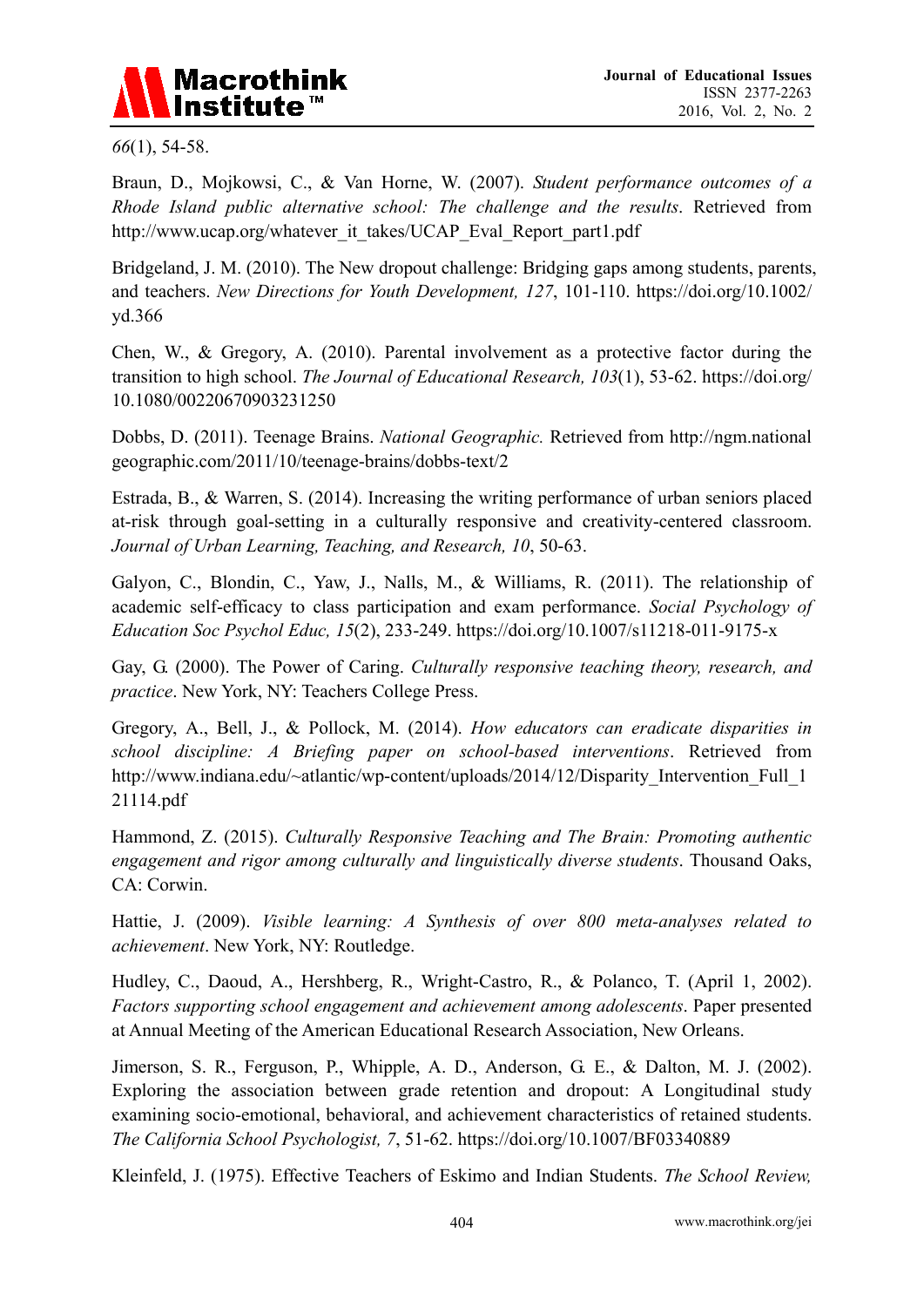

*66*(1), 54-58.

Braun, D., Mojkowsi, C., & Van Horne, W. (2007). *Student performance outcomes of a Rhode Island public alternative school: The challenge and the results*. Retrieved from http://www.ucap.org/whatever\_it\_takes/UCAP\_Eval\_Report\_part1.pdf

Bridgeland, J. M. (2010). The New dropout challenge: Bridging gaps among students, parents, and teachers. *New Directions for Youth Development, 127*, 101-110. https://doi.org/10.1002/ yd.366

Chen, W., & Gregory, A. (2010). Parental involvement as a protective factor during the transition to high school. *The Journal of Educational Research, 103*(1), 53-62. https://doi.org/ 10.1080/00220670903231250

Dobbs, D. (2011). Teenage Brains. *National Geographic.* Retrieved from http://ngm.national geographic.com/2011/10/teenage-brains/dobbs-text/2

Estrada, B., & Warren, S. (2014). Increasing the writing performance of urban seniors placed at-risk through goal-setting in a culturally responsive and creativity-centered classroom. *Journal of Urban Learning, Teaching, and Research, 10*, 50-63.

Galyon, C., Blondin, C., Yaw, J., Nalls, M., & Williams, R. (2011). The relationship of academic self-efficacy to class participation and exam performance. *Social Psychology of Education Soc Psychol Educ, 15*(2), 233-249. https://doi.org/10.1007/s11218-011-9175-x

Gay, G. (2000). The Power of Caring. *Culturally responsive teaching theory, research, and practice*. New York, NY: Teachers College Press.

Gregory, A., Bell, J., & Pollock, M. (2014). *How educators can eradicate disparities in school discipline: A Briefing paper on school-based interventions*. Retrieved from http://www.indiana.edu/~atlantic/wp-content/uploads/2014/12/Disparity Intervention Full 1 21114.pdf

Hammond, Z. (2015). *Culturally Responsive Teaching and The Brain: Promoting authentic engagement and rigor among culturally and linguistically diverse students*. Thousand Oaks, CA: Corwin.

Hattie, J. (2009). *Visible learning: A Synthesis of over 800 meta-analyses related to achievement*. New York, NY: Routledge.

Hudley, C., Daoud, A., Hershberg, R., Wright-Castro, R., & Polanco, T. (April 1, 2002). *Factors supporting school engagement and achievement among adolescents*. Paper presented at Annual Meeting of the American Educational Research Association, New Orleans.

Jimerson, S. R., Ferguson, P., Whipple, A. D., Anderson, G. E., & Dalton, M. J. (2002). Exploring the association between grade retention and dropout: A Longitudinal study examining socio-emotional, behavioral, and achievement characteristics of retained students. *The California School Psychologist, 7*, 51-62. https://doi.org/10.1007/BF03340889

Kleinfeld, J. (1975). Effective Teachers of Eskimo and Indian Students. *The School Review,*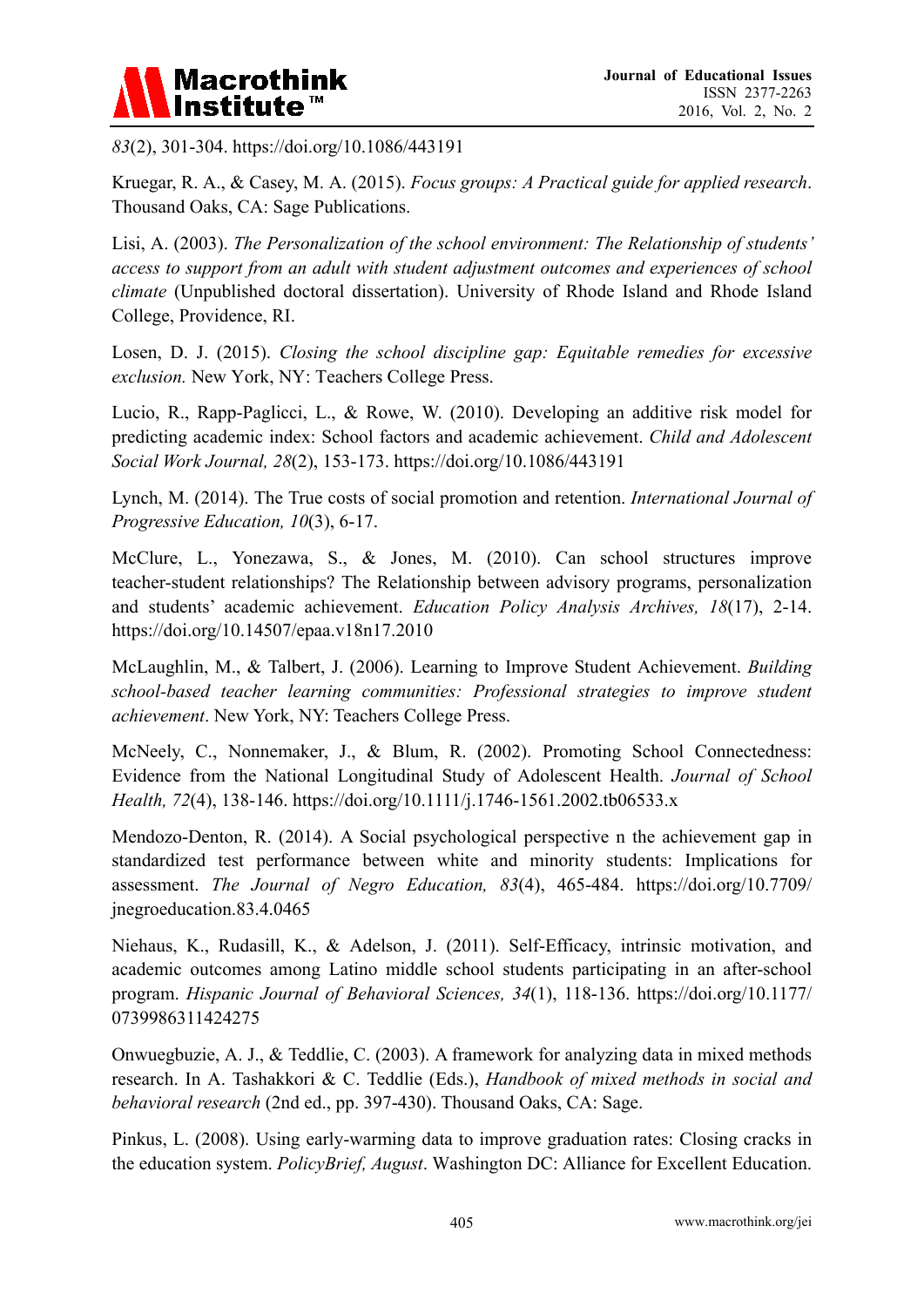

*83*(2), 301-304. https://doi.org/10.1086/443191

Kruegar, R. A., & Casey, M. A. (2015). *Focus groups: A Practical guide for applied research*. Thousand Oaks, CA: Sage Publications.

Lisi, A. (2003). *The Personalization of the school environment: The Relationship of students' access to support from an adult with student adjustment outcomes and experiences of school climate* (Unpublished doctoral dissertation). University of Rhode Island and Rhode Island College, Providence, RI.

Losen, D. J. (2015). *Closing the school discipline gap: Equitable remedies for excessive exclusion.* New York, NY: Teachers College Press.

Lucio, R., Rapp-Paglicci, L., & Rowe, W. (2010). Developing an additive risk model for predicting academic index: School factors and academic achievement. *Child and Adolescent Social Work Journal, 28*(2), 153-173. https://doi.org/10.1086/443191

Lynch, M. (2014). The True costs of social promotion and retention. *International Journal of Progressive Education, 10*(3), 6-17.

McClure, L., Yonezawa, S., & Jones, M. (2010). Can school structures improve teacher-student relationships? The Relationship between advisory programs, personalization and students' academic achievement. *Education Policy Analysis Archives, 18*(17), 2-14. https://doi.org/10.14507/epaa.v18n17.2010

McLaughlin, M., & Talbert, J. (2006). Learning to Improve Student Achievement. *Building school-based teacher learning communities: Professional strategies to improve student achievement*. New York, NY: Teachers College Press.

McNeely, C., Nonnemaker, J., & Blum, R. (2002). Promoting School Connectedness: Evidence from the National Longitudinal Study of Adolescent Health. *Journal of School Health, 72*(4), 138-146. https://doi.org/10.1111/j.1746-1561.2002.tb06533.x

Mendozo-Denton, R. (2014). A Social psychological perspective n the achievement gap in standardized test performance between white and minority students: Implications for assessment. *The Journal of Negro Education, 83*(4), 465-484. https://doi.org/10.7709/ jnegroeducation.83.4.0465

Niehaus, K., Rudasill, K., & Adelson, J. (2011). Self-Efficacy, intrinsic motivation, and academic outcomes among Latino middle school students participating in an after-school program. *Hispanic Journal of Behavioral Sciences, 34*(1), 118-136. https://doi.org/10.1177/ 0739986311424275

Onwuegbuzie, A. J., & Teddlie, C. (2003). A framework for analyzing data in mixed methods research. In A. Tashakkori & C. Teddlie (Eds.), *Handbook of mixed methods in social and behavioral research* (2nd ed., pp. 397-430). Thousand Oaks, CA: Sage.

Pinkus, L. (2008). Using early-warming data to improve graduation rates: Closing cracks in the education system. *PolicyBrief, August*. Washington DC: Alliance for Excellent Education.